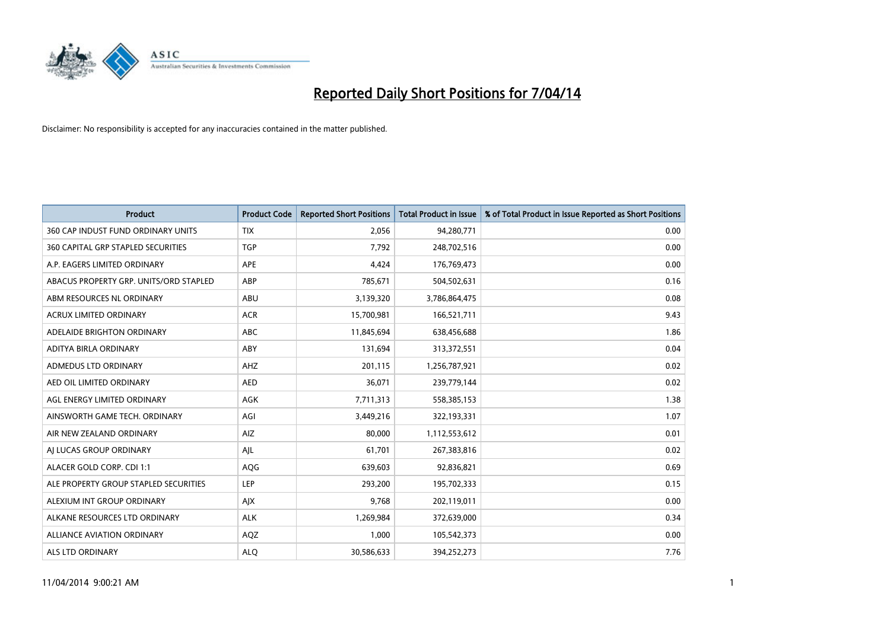

| <b>Product</b>                            | <b>Product Code</b> | <b>Reported Short Positions</b> | <b>Total Product in Issue</b> | % of Total Product in Issue Reported as Short Positions |
|-------------------------------------------|---------------------|---------------------------------|-------------------------------|---------------------------------------------------------|
| 360 CAP INDUST FUND ORDINARY UNITS        | <b>TIX</b>          | 2,056                           | 94,280,771                    | 0.00                                                    |
| <b>360 CAPITAL GRP STAPLED SECURITIES</b> | <b>TGP</b>          | 7,792                           | 248,702,516                   | 0.00                                                    |
| A.P. EAGERS LIMITED ORDINARY              | APE                 | 4,424                           | 176,769,473                   | 0.00                                                    |
| ABACUS PROPERTY GRP. UNITS/ORD STAPLED    | ABP                 | 785,671                         | 504,502,631                   | 0.16                                                    |
| ABM RESOURCES NL ORDINARY                 | ABU                 | 3,139,320                       | 3,786,864,475                 | 0.08                                                    |
| <b>ACRUX LIMITED ORDINARY</b>             | <b>ACR</b>          | 15,700,981                      | 166,521,711                   | 9.43                                                    |
| ADELAIDE BRIGHTON ORDINARY                | <b>ABC</b>          | 11,845,694                      | 638,456,688                   | 1.86                                                    |
| ADITYA BIRLA ORDINARY                     | ABY                 | 131,694                         | 313,372,551                   | 0.04                                                    |
| ADMEDUS LTD ORDINARY                      | AHZ                 | 201,115                         | 1,256,787,921                 | 0.02                                                    |
| AED OIL LIMITED ORDINARY                  | <b>AED</b>          | 36,071                          | 239,779,144                   | 0.02                                                    |
| AGL ENERGY LIMITED ORDINARY               | AGK                 | 7,711,313                       | 558,385,153                   | 1.38                                                    |
| AINSWORTH GAME TECH. ORDINARY             | AGI                 | 3,449,216                       | 322,193,331                   | 1.07                                                    |
| AIR NEW ZEALAND ORDINARY                  | AIZ                 | 80,000                          | 1,112,553,612                 | 0.01                                                    |
| AI LUCAS GROUP ORDINARY                   | AJL                 | 61,701                          | 267,383,816                   | 0.02                                                    |
| ALACER GOLD CORP. CDI 1:1                 | AQG                 | 639,603                         | 92,836,821                    | 0.69                                                    |
| ALE PROPERTY GROUP STAPLED SECURITIES     | LEP                 | 293,200                         | 195,702,333                   | 0.15                                                    |
| ALEXIUM INT GROUP ORDINARY                | <b>AIX</b>          | 9,768                           | 202,119,011                   | 0.00                                                    |
| ALKANE RESOURCES LTD ORDINARY             | <b>ALK</b>          | 1,269,984                       | 372,639,000                   | 0.34                                                    |
| <b>ALLIANCE AVIATION ORDINARY</b>         | AQZ                 | 1,000                           | 105,542,373                   | 0.00                                                    |
| ALS LTD ORDINARY                          | <b>ALO</b>          | 30,586,633                      | 394,252,273                   | 7.76                                                    |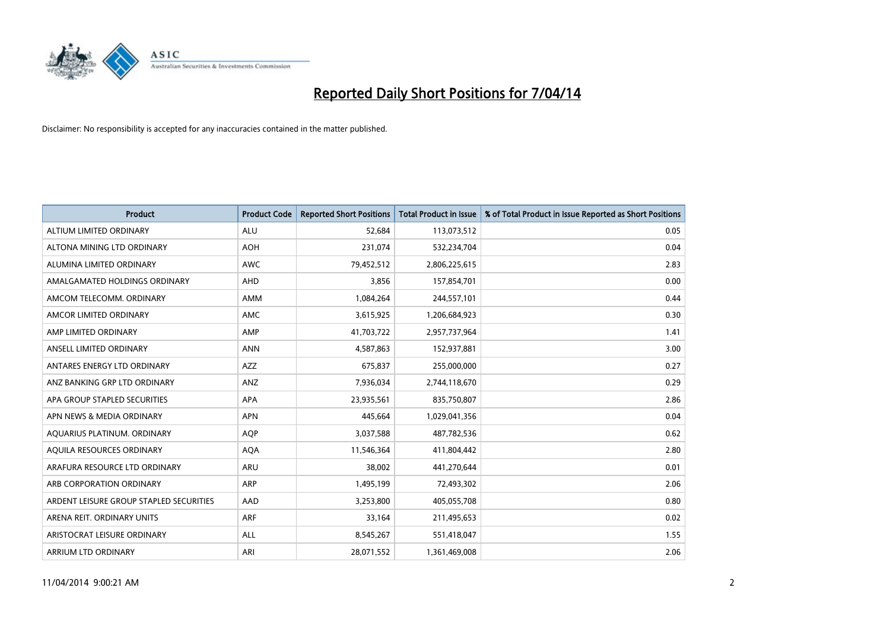

| <b>Product</b>                          | <b>Product Code</b> | <b>Reported Short Positions</b> | <b>Total Product in Issue</b> | % of Total Product in Issue Reported as Short Positions |
|-----------------------------------------|---------------------|---------------------------------|-------------------------------|---------------------------------------------------------|
| ALTIUM LIMITED ORDINARY                 | <b>ALU</b>          | 52,684                          | 113,073,512                   | 0.05                                                    |
| ALTONA MINING LTD ORDINARY              | <b>AOH</b>          | 231,074                         | 532,234,704                   | 0.04                                                    |
| ALUMINA LIMITED ORDINARY                | <b>AWC</b>          | 79,452,512                      | 2,806,225,615                 | 2.83                                                    |
| AMALGAMATED HOLDINGS ORDINARY           | <b>AHD</b>          | 3,856                           | 157,854,701                   | 0.00                                                    |
| AMCOM TELECOMM, ORDINARY                | <b>AMM</b>          | 1,084,264                       | 244,557,101                   | 0.44                                                    |
| AMCOR LIMITED ORDINARY                  | <b>AMC</b>          | 3,615,925                       | 1,206,684,923                 | 0.30                                                    |
| AMP LIMITED ORDINARY                    | AMP                 | 41,703,722                      | 2,957,737,964                 | 1.41                                                    |
| ANSELL LIMITED ORDINARY                 | <b>ANN</b>          | 4,587,863                       | 152,937,881                   | 3.00                                                    |
| ANTARES ENERGY LTD ORDINARY             | AZZ                 | 675,837                         | 255,000,000                   | 0.27                                                    |
| ANZ BANKING GRP LTD ORDINARY            | ANZ                 | 7,936,034                       | 2,744,118,670                 | 0.29                                                    |
| APA GROUP STAPLED SECURITIES            | APA                 | 23,935,561                      | 835,750,807                   | 2.86                                                    |
| APN NEWS & MEDIA ORDINARY               | <b>APN</b>          | 445,664                         | 1,029,041,356                 | 0.04                                                    |
| AQUARIUS PLATINUM. ORDINARY             | <b>AOP</b>          | 3,037,588                       | 487,782,536                   | 0.62                                                    |
| AQUILA RESOURCES ORDINARY               | <b>AQA</b>          | 11,546,364                      | 411,804,442                   | 2.80                                                    |
| ARAFURA RESOURCE LTD ORDINARY           | <b>ARU</b>          | 38,002                          | 441,270,644                   | 0.01                                                    |
| ARB CORPORATION ORDINARY                | ARP                 | 1,495,199                       | 72,493,302                    | 2.06                                                    |
| ARDENT LEISURE GROUP STAPLED SECURITIES | AAD                 | 3,253,800                       | 405,055,708                   | 0.80                                                    |
| ARENA REIT. ORDINARY UNITS              | <b>ARF</b>          | 33,164                          | 211,495,653                   | 0.02                                                    |
| ARISTOCRAT LEISURE ORDINARY             | <b>ALL</b>          | 8,545,267                       | 551,418,047                   | 1.55                                                    |
| ARRIUM LTD ORDINARY                     | ARI                 | 28,071,552                      | 1,361,469,008                 | 2.06                                                    |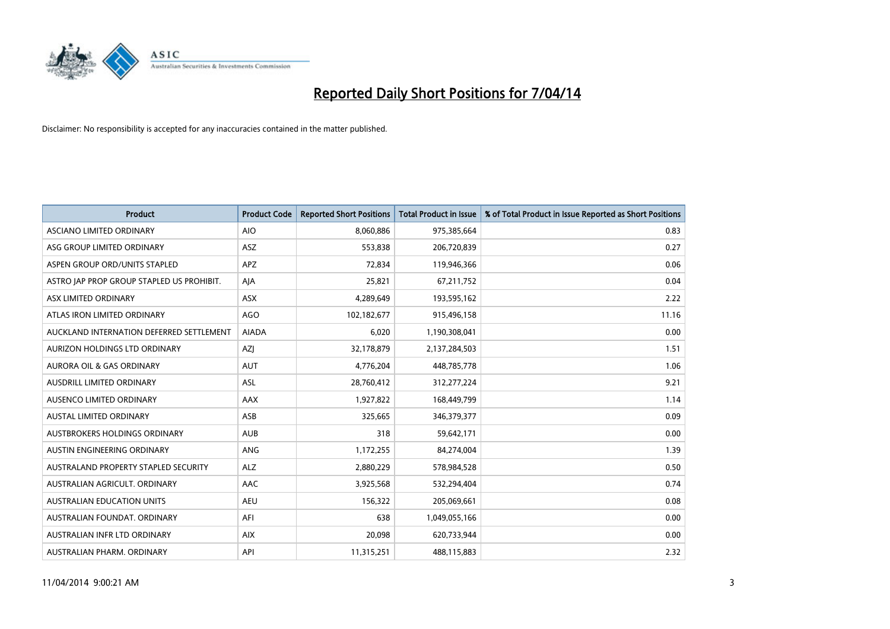

| <b>Product</b>                            | <b>Product Code</b> | <b>Reported Short Positions</b> | <b>Total Product in Issue</b> | % of Total Product in Issue Reported as Short Positions |
|-------------------------------------------|---------------------|---------------------------------|-------------------------------|---------------------------------------------------------|
| <b>ASCIANO LIMITED ORDINARY</b>           | <b>AIO</b>          | 8,060,886                       | 975,385,664                   | 0.83                                                    |
| ASG GROUP LIMITED ORDINARY                | ASZ                 | 553,838                         | 206,720,839                   | 0.27                                                    |
| ASPEN GROUP ORD/UNITS STAPLED             | <b>APZ</b>          | 72,834                          | 119,946,366                   | 0.06                                                    |
| ASTRO JAP PROP GROUP STAPLED US PROHIBIT. | AJA                 | 25,821                          | 67,211,752                    | 0.04                                                    |
| ASX LIMITED ORDINARY                      | ASX                 | 4,289,649                       | 193,595,162                   | 2.22                                                    |
| ATLAS IRON LIMITED ORDINARY               | <b>AGO</b>          | 102,182,677                     | 915,496,158                   | 11.16                                                   |
| AUCKLAND INTERNATION DEFERRED SETTLEMENT  | <b>AIADA</b>        | 6,020                           | 1,190,308,041                 | 0.00                                                    |
| AURIZON HOLDINGS LTD ORDINARY             | AZJ                 | 32,178,879                      | 2,137,284,503                 | 1.51                                                    |
| <b>AURORA OIL &amp; GAS ORDINARY</b>      | <b>AUT</b>          | 4,776,204                       | 448,785,778                   | 1.06                                                    |
| AUSDRILL LIMITED ORDINARY                 | ASL                 | 28,760,412                      | 312,277,224                   | 9.21                                                    |
| AUSENCO LIMITED ORDINARY                  | AAX                 | 1,927,822                       | 168,449,799                   | 1.14                                                    |
| <b>AUSTAL LIMITED ORDINARY</b>            | ASB                 | 325,665                         | 346, 379, 377                 | 0.09                                                    |
| AUSTBROKERS HOLDINGS ORDINARY             | <b>AUB</b>          | 318                             | 59,642,171                    | 0.00                                                    |
| AUSTIN ENGINEERING ORDINARY               | ANG                 | 1,172,255                       | 84,274,004                    | 1.39                                                    |
| AUSTRALAND PROPERTY STAPLED SECURITY      | <b>ALZ</b>          | 2,880,229                       | 578,984,528                   | 0.50                                                    |
| AUSTRALIAN AGRICULT. ORDINARY             | AAC                 | 3,925,568                       | 532,294,404                   | 0.74                                                    |
| <b>AUSTRALIAN EDUCATION UNITS</b>         | <b>AEU</b>          | 156,322                         | 205,069,661                   | 0.08                                                    |
| AUSTRALIAN FOUNDAT, ORDINARY              | AFI                 | 638                             | 1,049,055,166                 | 0.00                                                    |
| AUSTRALIAN INFR LTD ORDINARY              | <b>AIX</b>          | 20,098                          | 620,733,944                   | 0.00                                                    |
| AUSTRALIAN PHARM. ORDINARY                | API                 | 11,315,251                      | 488,115,883                   | 2.32                                                    |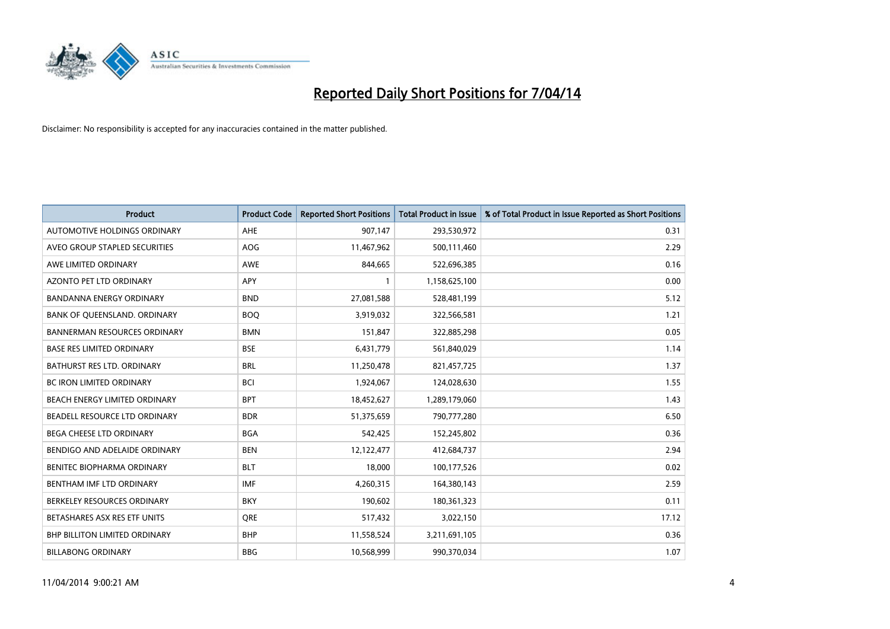

| <b>Product</b>                       | <b>Product Code</b> | <b>Reported Short Positions</b> | <b>Total Product in Issue</b> | % of Total Product in Issue Reported as Short Positions |
|--------------------------------------|---------------------|---------------------------------|-------------------------------|---------------------------------------------------------|
| <b>AUTOMOTIVE HOLDINGS ORDINARY</b>  | AHE                 | 907,147                         | 293,530,972                   | 0.31                                                    |
| AVEO GROUP STAPLED SECURITIES        | AOG                 | 11,467,962                      | 500,111,460                   | 2.29                                                    |
| AWE LIMITED ORDINARY                 | <b>AWE</b>          | 844,665                         | 522,696,385                   | 0.16                                                    |
| <b>AZONTO PET LTD ORDINARY</b>       | APY                 | $\mathbf{1}$                    | 1,158,625,100                 | 0.00                                                    |
| <b>BANDANNA ENERGY ORDINARY</b>      | <b>BND</b>          | 27,081,588                      | 528,481,199                   | 5.12                                                    |
| BANK OF QUEENSLAND. ORDINARY         | <b>BOO</b>          | 3,919,032                       | 322,566,581                   | 1.21                                                    |
| <b>BANNERMAN RESOURCES ORDINARY</b>  | <b>BMN</b>          | 151,847                         | 322,885,298                   | 0.05                                                    |
| <b>BASE RES LIMITED ORDINARY</b>     | <b>BSE</b>          | 6,431,779                       | 561,840,029                   | 1.14                                                    |
| BATHURST RES LTD. ORDINARY           | <b>BRL</b>          | 11,250,478                      | 821,457,725                   | 1.37                                                    |
| <b>BC IRON LIMITED ORDINARY</b>      | <b>BCI</b>          | 1,924,067                       | 124,028,630                   | 1.55                                                    |
| BEACH ENERGY LIMITED ORDINARY        | <b>BPT</b>          | 18,452,627                      | 1,289,179,060                 | 1.43                                                    |
| BEADELL RESOURCE LTD ORDINARY        | <b>BDR</b>          | 51,375,659                      | 790,777,280                   | 6.50                                                    |
| BEGA CHEESE LTD ORDINARY             | <b>BGA</b>          | 542,425                         | 152,245,802                   | 0.36                                                    |
| BENDIGO AND ADELAIDE ORDINARY        | <b>BEN</b>          | 12,122,477                      | 412,684,737                   | 2.94                                                    |
| BENITEC BIOPHARMA ORDINARY           | <b>BLT</b>          | 18,000                          | 100,177,526                   | 0.02                                                    |
| BENTHAM IMF LTD ORDINARY             | <b>IMF</b>          | 4,260,315                       | 164,380,143                   | 2.59                                                    |
| BERKELEY RESOURCES ORDINARY          | <b>BKY</b>          | 190,602                         | 180,361,323                   | 0.11                                                    |
| BETASHARES ASX RES ETF UNITS         | <b>ORE</b>          | 517,432                         | 3,022,150                     | 17.12                                                   |
| <b>BHP BILLITON LIMITED ORDINARY</b> | <b>BHP</b>          | 11,558,524                      | 3,211,691,105                 | 0.36                                                    |
| <b>BILLABONG ORDINARY</b>            | <b>BBG</b>          | 10,568,999                      | 990,370,034                   | 1.07                                                    |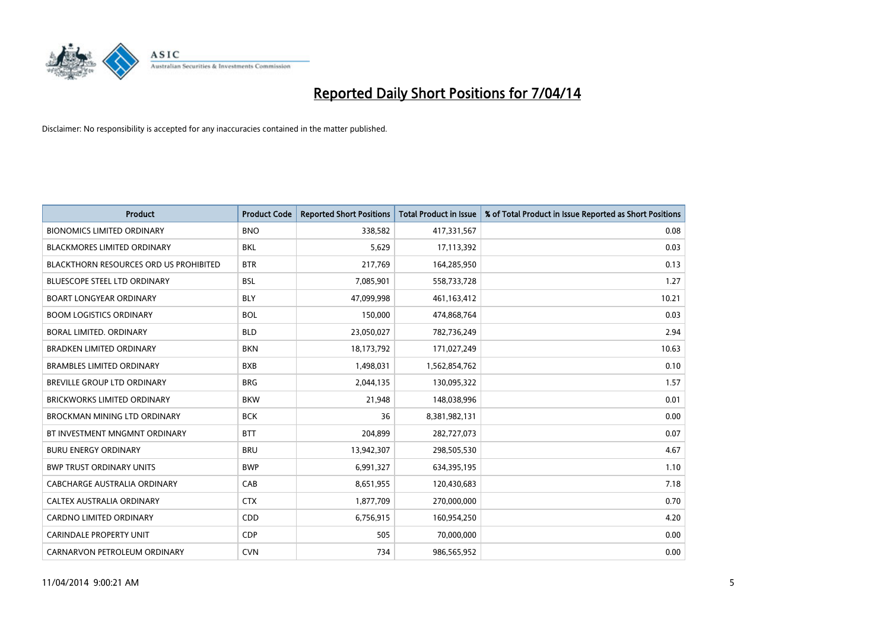

| <b>Product</b>                                | <b>Product Code</b> | <b>Reported Short Positions</b> | <b>Total Product in Issue</b> | % of Total Product in Issue Reported as Short Positions |
|-----------------------------------------------|---------------------|---------------------------------|-------------------------------|---------------------------------------------------------|
| <b>BIONOMICS LIMITED ORDINARY</b>             | <b>BNO</b>          | 338,582                         | 417,331,567                   | 0.08                                                    |
| BLACKMORES LIMITED ORDINARY                   | BKL                 | 5,629                           | 17,113,392                    | 0.03                                                    |
| <b>BLACKTHORN RESOURCES ORD US PROHIBITED</b> | <b>BTR</b>          | 217,769                         | 164,285,950                   | 0.13                                                    |
| <b>BLUESCOPE STEEL LTD ORDINARY</b>           | <b>BSL</b>          | 7,085,901                       | 558,733,728                   | 1.27                                                    |
| <b>BOART LONGYEAR ORDINARY</b>                | <b>BLY</b>          | 47,099,998                      | 461,163,412                   | 10.21                                                   |
| <b>BOOM LOGISTICS ORDINARY</b>                | <b>BOL</b>          | 150,000                         | 474,868,764                   | 0.03                                                    |
| BORAL LIMITED, ORDINARY                       | <b>BLD</b>          | 23,050,027                      | 782,736,249                   | 2.94                                                    |
| <b>BRADKEN LIMITED ORDINARY</b>               | <b>BKN</b>          | 18,173,792                      | 171,027,249                   | 10.63                                                   |
| <b>BRAMBLES LIMITED ORDINARY</b>              | <b>BXB</b>          | 1,498,031                       | 1,562,854,762                 | 0.10                                                    |
| <b>BREVILLE GROUP LTD ORDINARY</b>            | <b>BRG</b>          | 2,044,135                       | 130,095,322                   | 1.57                                                    |
| <b>BRICKWORKS LIMITED ORDINARY</b>            | <b>BKW</b>          | 21,948                          | 148,038,996                   | 0.01                                                    |
| <b>BROCKMAN MINING LTD ORDINARY</b>           | <b>BCK</b>          | 36                              | 8,381,982,131                 | 0.00                                                    |
| BT INVESTMENT MNGMNT ORDINARY                 | <b>BTT</b>          | 204,899                         | 282,727,073                   | 0.07                                                    |
| <b>BURU ENERGY ORDINARY</b>                   | <b>BRU</b>          | 13,942,307                      | 298,505,530                   | 4.67                                                    |
| <b>BWP TRUST ORDINARY UNITS</b>               | <b>BWP</b>          | 6,991,327                       | 634,395,195                   | 1.10                                                    |
| CABCHARGE AUSTRALIA ORDINARY                  | CAB                 | 8,651,955                       | 120,430,683                   | 7.18                                                    |
| CALTEX AUSTRALIA ORDINARY                     | <b>CTX</b>          | 1,877,709                       | 270,000,000                   | 0.70                                                    |
| CARDNO LIMITED ORDINARY                       | CDD                 | 6,756,915                       | 160,954,250                   | 4.20                                                    |
| <b>CARINDALE PROPERTY UNIT</b>                | <b>CDP</b>          | 505                             | 70,000,000                    | 0.00                                                    |
| CARNARVON PETROLEUM ORDINARY                  | <b>CVN</b>          | 734                             | 986,565,952                   | 0.00                                                    |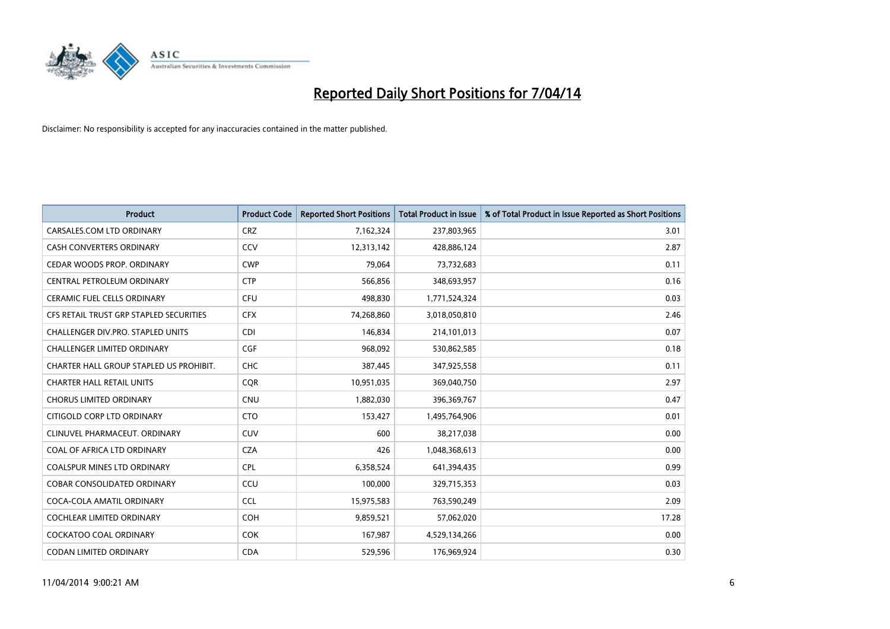

| <b>Product</b>                           | <b>Product Code</b> | <b>Reported Short Positions</b> | <b>Total Product in Issue</b> | % of Total Product in Issue Reported as Short Positions |
|------------------------------------------|---------------------|---------------------------------|-------------------------------|---------------------------------------------------------|
| CARSALES.COM LTD ORDINARY                | <b>CRZ</b>          | 7,162,324                       | 237,803,965                   | 3.01                                                    |
| <b>CASH CONVERTERS ORDINARY</b>          | <b>CCV</b>          | 12,313,142                      | 428,886,124                   | 2.87                                                    |
| CEDAR WOODS PROP. ORDINARY               | <b>CWP</b>          | 79,064                          | 73,732,683                    | 0.11                                                    |
| CENTRAL PETROLEUM ORDINARY               | <b>CTP</b>          | 566,856                         | 348,693,957                   | 0.16                                                    |
| <b>CERAMIC FUEL CELLS ORDINARY</b>       | <b>CFU</b>          | 498,830                         | 1,771,524,324                 | 0.03                                                    |
| CFS RETAIL TRUST GRP STAPLED SECURITIES  | <b>CFX</b>          | 74,268,860                      | 3,018,050,810                 | 2.46                                                    |
| <b>CHALLENGER DIV.PRO. STAPLED UNITS</b> | <b>CDI</b>          | 146,834                         | 214,101,013                   | 0.07                                                    |
| <b>CHALLENGER LIMITED ORDINARY</b>       | <b>CGF</b>          | 968,092                         | 530,862,585                   | 0.18                                                    |
| CHARTER HALL GROUP STAPLED US PROHIBIT.  | <b>CHC</b>          | 387,445                         | 347,925,558                   | 0.11                                                    |
| <b>CHARTER HALL RETAIL UNITS</b>         | <b>COR</b>          | 10,951,035                      | 369,040,750                   | 2.97                                                    |
| <b>CHORUS LIMITED ORDINARY</b>           | <b>CNU</b>          | 1,882,030                       | 396,369,767                   | 0.47                                                    |
| CITIGOLD CORP LTD ORDINARY               | <b>CTO</b>          | 153,427                         | 1,495,764,906                 | 0.01                                                    |
| CLINUVEL PHARMACEUT. ORDINARY            | <b>CUV</b>          | 600                             | 38,217,038                    | 0.00                                                    |
| COAL OF AFRICA LTD ORDINARY              | <b>CZA</b>          | 426                             | 1,048,368,613                 | 0.00                                                    |
| <b>COALSPUR MINES LTD ORDINARY</b>       | <b>CPL</b>          | 6,358,524                       | 641,394,435                   | 0.99                                                    |
| COBAR CONSOLIDATED ORDINARY              | CCU                 | 100,000                         | 329,715,353                   | 0.03                                                    |
| COCA-COLA AMATIL ORDINARY                | <b>CCL</b>          | 15,975,583                      | 763,590,249                   | 2.09                                                    |
| COCHLEAR LIMITED ORDINARY                | <b>COH</b>          | 9,859,521                       | 57,062,020                    | 17.28                                                   |
| <b>COCKATOO COAL ORDINARY</b>            | <b>COK</b>          | 167,987                         | 4,529,134,266                 | 0.00                                                    |
| CODAN LIMITED ORDINARY                   | <b>CDA</b>          | 529,596                         | 176,969,924                   | 0.30                                                    |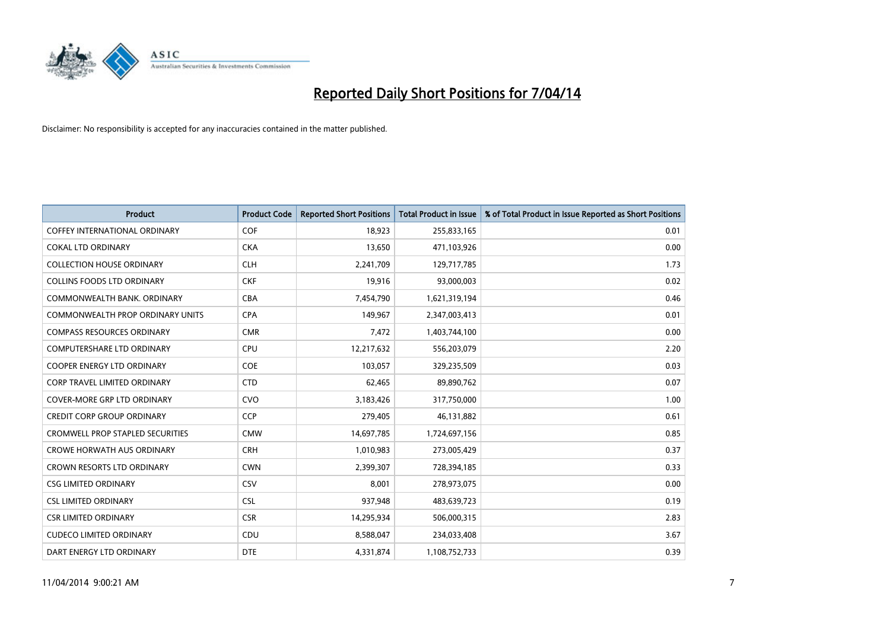

| <b>Product</b>                          | <b>Product Code</b> | <b>Reported Short Positions</b> | <b>Total Product in Issue</b> | % of Total Product in Issue Reported as Short Positions |
|-----------------------------------------|---------------------|---------------------------------|-------------------------------|---------------------------------------------------------|
| <b>COFFEY INTERNATIONAL ORDINARY</b>    | <b>COF</b>          | 18,923                          | 255,833,165                   | 0.01                                                    |
| <b>COKAL LTD ORDINARY</b>               | <b>CKA</b>          | 13,650                          | 471,103,926                   | 0.00                                                    |
| <b>COLLECTION HOUSE ORDINARY</b>        | <b>CLH</b>          | 2,241,709                       | 129,717,785                   | 1.73                                                    |
| <b>COLLINS FOODS LTD ORDINARY</b>       | <b>CKF</b>          | 19,916                          | 93,000,003                    | 0.02                                                    |
| COMMONWEALTH BANK, ORDINARY             | <b>CBA</b>          | 7,454,790                       | 1,621,319,194                 | 0.46                                                    |
| <b>COMMONWEALTH PROP ORDINARY UNITS</b> | <b>CPA</b>          | 149,967                         | 2,347,003,413                 | 0.01                                                    |
| <b>COMPASS RESOURCES ORDINARY</b>       | <b>CMR</b>          | 7,472                           | 1,403,744,100                 | 0.00                                                    |
| <b>COMPUTERSHARE LTD ORDINARY</b>       | <b>CPU</b>          | 12,217,632                      | 556,203,079                   | 2.20                                                    |
| <b>COOPER ENERGY LTD ORDINARY</b>       | <b>COE</b>          | 103,057                         | 329,235,509                   | 0.03                                                    |
| <b>CORP TRAVEL LIMITED ORDINARY</b>     | <b>CTD</b>          | 62,465                          | 89,890,762                    | 0.07                                                    |
| COVER-MORE GRP LTD ORDINARY             | <b>CVO</b>          | 3,183,426                       | 317,750,000                   | 1.00                                                    |
| <b>CREDIT CORP GROUP ORDINARY</b>       | <b>CCP</b>          | 279,405                         | 46,131,882                    | 0.61                                                    |
| <b>CROMWELL PROP STAPLED SECURITIES</b> | <b>CMW</b>          | 14,697,785                      | 1,724,697,156                 | 0.85                                                    |
| <b>CROWE HORWATH AUS ORDINARY</b>       | <b>CRH</b>          | 1,010,983                       | 273,005,429                   | 0.37                                                    |
| <b>CROWN RESORTS LTD ORDINARY</b>       | <b>CWN</b>          | 2,399,307                       | 728,394,185                   | 0.33                                                    |
| <b>CSG LIMITED ORDINARY</b>             | CSV                 | 8,001                           | 278,973,075                   | 0.00                                                    |
| <b>CSL LIMITED ORDINARY</b>             | <b>CSL</b>          | 937,948                         | 483,639,723                   | 0.19                                                    |
| <b>CSR LIMITED ORDINARY</b>             | <b>CSR</b>          | 14,295,934                      | 506,000,315                   | 2.83                                                    |
| <b>CUDECO LIMITED ORDINARY</b>          | CDU                 | 8,588,047                       | 234,033,408                   | 3.67                                                    |
| DART ENERGY LTD ORDINARY                | <b>DTE</b>          | 4,331,874                       | 1,108,752,733                 | 0.39                                                    |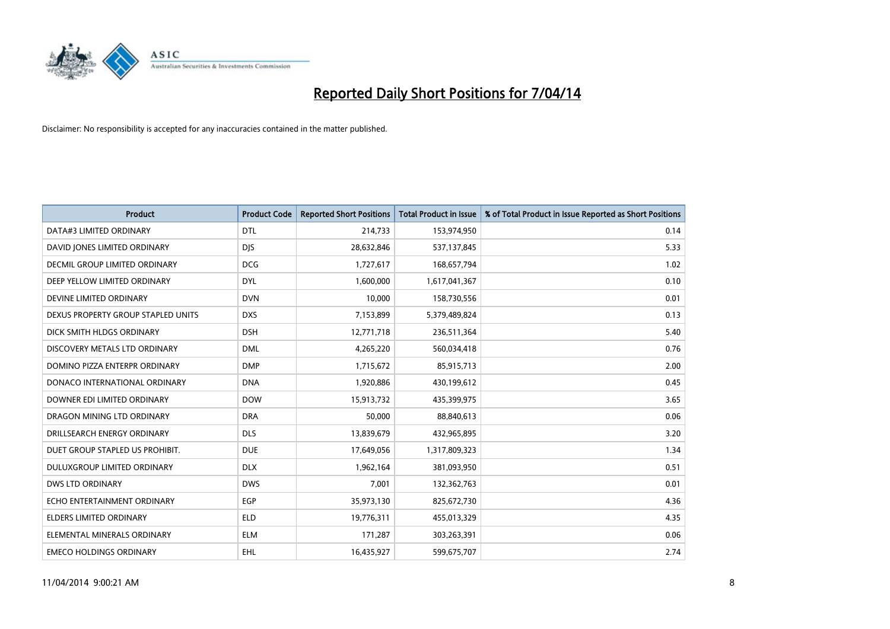

| <b>Product</b>                     | <b>Product Code</b> | <b>Reported Short Positions</b> | <b>Total Product in Issue</b> | % of Total Product in Issue Reported as Short Positions |
|------------------------------------|---------------------|---------------------------------|-------------------------------|---------------------------------------------------------|
| DATA#3 LIMITED ORDINARY            | <b>DTL</b>          | 214,733                         | 153,974,950                   | 0.14                                                    |
| DAVID JONES LIMITED ORDINARY       | <b>DIS</b>          | 28,632,846                      | 537,137,845                   | 5.33                                                    |
| DECMIL GROUP LIMITED ORDINARY      | <b>DCG</b>          | 1,727,617                       | 168,657,794                   | 1.02                                                    |
| DEEP YELLOW LIMITED ORDINARY       | <b>DYL</b>          | 1,600,000                       | 1,617,041,367                 | 0.10                                                    |
| DEVINE LIMITED ORDINARY            | <b>DVN</b>          | 10,000                          | 158,730,556                   | 0.01                                                    |
| DEXUS PROPERTY GROUP STAPLED UNITS | <b>DXS</b>          | 7,153,899                       | 5,379,489,824                 | 0.13                                                    |
| DICK SMITH HLDGS ORDINARY          | <b>DSH</b>          | 12,771,718                      | 236,511,364                   | 5.40                                                    |
| DISCOVERY METALS LTD ORDINARY      | <b>DML</b>          | 4,265,220                       | 560,034,418                   | 0.76                                                    |
| DOMINO PIZZA ENTERPR ORDINARY      | <b>DMP</b>          | 1,715,672                       | 85,915,713                    | 2.00                                                    |
| DONACO INTERNATIONAL ORDINARY      | <b>DNA</b>          | 1,920,886                       | 430,199,612                   | 0.45                                                    |
| DOWNER EDI LIMITED ORDINARY        | <b>DOW</b>          | 15,913,732                      | 435,399,975                   | 3.65                                                    |
| DRAGON MINING LTD ORDINARY         | <b>DRA</b>          | 50,000                          | 88,840,613                    | 0.06                                                    |
| DRILLSEARCH ENERGY ORDINARY        | <b>DLS</b>          | 13,839,679                      | 432,965,895                   | 3.20                                                    |
| DUET GROUP STAPLED US PROHIBIT.    | <b>DUE</b>          | 17,649,056                      | 1,317,809,323                 | 1.34                                                    |
| DULUXGROUP LIMITED ORDINARY        | <b>DLX</b>          | 1,962,164                       | 381,093,950                   | 0.51                                                    |
| DWS LTD ORDINARY                   | <b>DWS</b>          | 7,001                           | 132,362,763                   | 0.01                                                    |
| ECHO ENTERTAINMENT ORDINARY        | EGP                 | 35,973,130                      | 825,672,730                   | 4.36                                                    |
| <b>ELDERS LIMITED ORDINARY</b>     | <b>ELD</b>          | 19,776,311                      | 455,013,329                   | 4.35                                                    |
| ELEMENTAL MINERALS ORDINARY        | <b>ELM</b>          | 171,287                         | 303,263,391                   | 0.06                                                    |
| <b>EMECO HOLDINGS ORDINARY</b>     | <b>EHL</b>          | 16,435,927                      | 599,675,707                   | 2.74                                                    |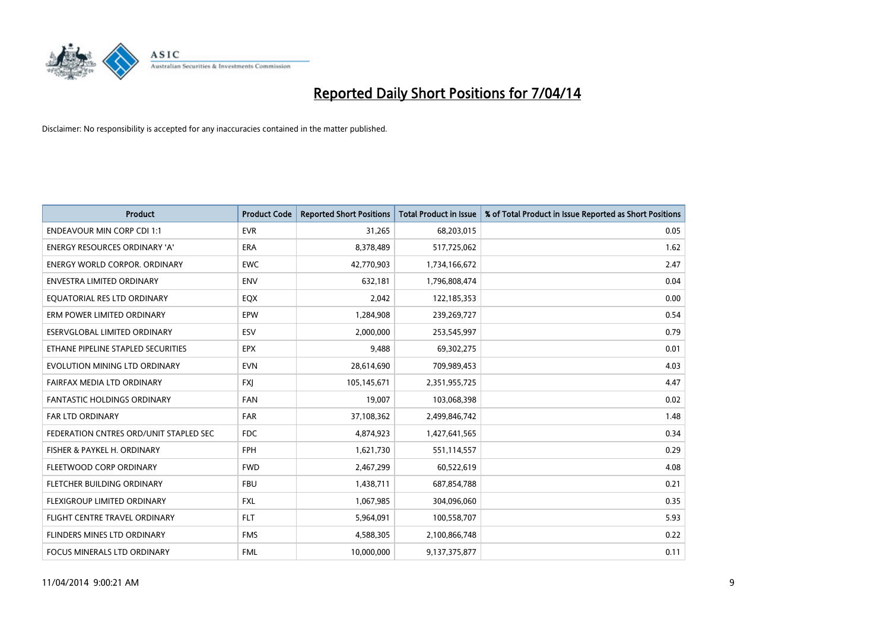

| <b>Product</b>                         | <b>Product Code</b> | <b>Reported Short Positions</b> | <b>Total Product in Issue</b> | % of Total Product in Issue Reported as Short Positions |
|----------------------------------------|---------------------|---------------------------------|-------------------------------|---------------------------------------------------------|
| <b>ENDEAVOUR MIN CORP CDI 1:1</b>      | <b>EVR</b>          | 31,265                          | 68,203,015                    | 0.05                                                    |
| ENERGY RESOURCES ORDINARY 'A'          | ERA                 | 8,378,489                       | 517,725,062                   | 1.62                                                    |
| <b>ENERGY WORLD CORPOR, ORDINARY</b>   | <b>EWC</b>          | 42,770,903                      | 1,734,166,672                 | 2.47                                                    |
| ENVESTRA LIMITED ORDINARY              | <b>ENV</b>          | 632,181                         | 1,796,808,474                 | 0.04                                                    |
| EOUATORIAL RES LTD ORDINARY            | EQX                 | 2,042                           | 122,185,353                   | 0.00                                                    |
| ERM POWER LIMITED ORDINARY             | EPW                 | 1,284,908                       | 239,269,727                   | 0.54                                                    |
| ESERVGLOBAL LIMITED ORDINARY           | ESV                 | 2,000,000                       | 253,545,997                   | 0.79                                                    |
| ETHANE PIPELINE STAPLED SECURITIES     | <b>EPX</b>          | 9,488                           | 69,302,275                    | 0.01                                                    |
| EVOLUTION MINING LTD ORDINARY          | <b>EVN</b>          | 28,614,690                      | 709,989,453                   | 4.03                                                    |
| <b>FAIRFAX MEDIA LTD ORDINARY</b>      | <b>FXJ</b>          | 105,145,671                     | 2,351,955,725                 | 4.47                                                    |
| <b>FANTASTIC HOLDINGS ORDINARY</b>     | <b>FAN</b>          | 19,007                          | 103,068,398                   | 0.02                                                    |
| FAR LTD ORDINARY                       | <b>FAR</b>          | 37,108,362                      | 2,499,846,742                 | 1.48                                                    |
| FEDERATION CNTRES ORD/UNIT STAPLED SEC | <b>FDC</b>          | 4,874,923                       | 1,427,641,565                 | 0.34                                                    |
| FISHER & PAYKEL H. ORDINARY            | <b>FPH</b>          | 1,621,730                       | 551,114,557                   | 0.29                                                    |
| FLEETWOOD CORP ORDINARY                | <b>FWD</b>          | 2,467,299                       | 60,522,619                    | 4.08                                                    |
| FLETCHER BUILDING ORDINARY             | <b>FBU</b>          | 1,438,711                       | 687,854,788                   | 0.21                                                    |
| FLEXIGROUP LIMITED ORDINARY            | <b>FXL</b>          | 1,067,985                       | 304,096,060                   | 0.35                                                    |
| FLIGHT CENTRE TRAVEL ORDINARY          | <b>FLT</b>          | 5,964,091                       | 100,558,707                   | 5.93                                                    |
| FLINDERS MINES LTD ORDINARY            | <b>FMS</b>          | 4,588,305                       | 2,100,866,748                 | 0.22                                                    |
| FOCUS MINERALS LTD ORDINARY            | <b>FML</b>          | 10,000,000                      | 9,137,375,877                 | 0.11                                                    |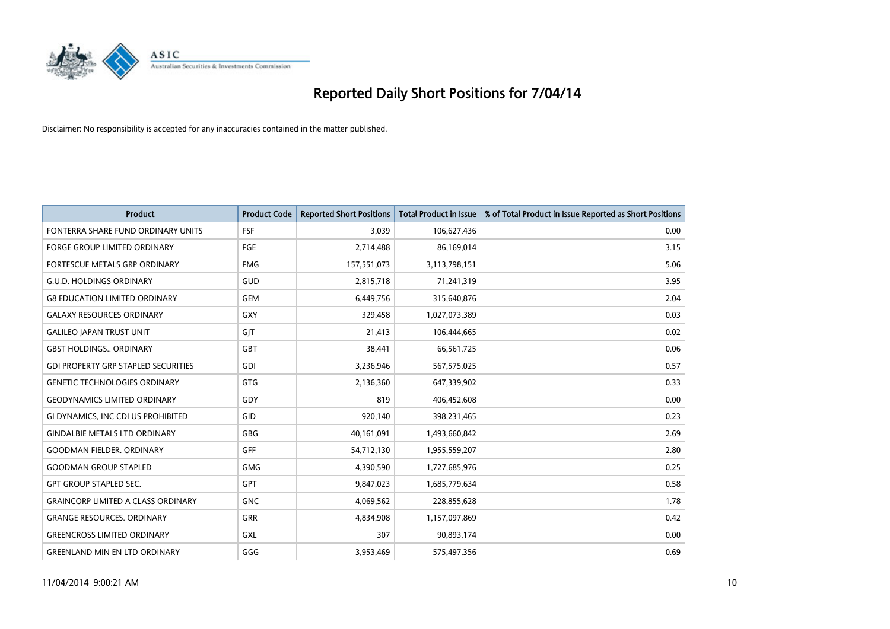

| <b>Product</b>                             | <b>Product Code</b> | <b>Reported Short Positions</b> | <b>Total Product in Issue</b> | % of Total Product in Issue Reported as Short Positions |
|--------------------------------------------|---------------------|---------------------------------|-------------------------------|---------------------------------------------------------|
| FONTERRA SHARE FUND ORDINARY UNITS         | <b>FSF</b>          | 3.039                           | 106,627,436                   | 0.00                                                    |
| <b>FORGE GROUP LIMITED ORDINARY</b>        | <b>FGE</b>          | 2,714,488                       | 86,169,014                    | 3.15                                                    |
| <b>FORTESCUE METALS GRP ORDINARY</b>       | <b>FMG</b>          | 157,551,073                     | 3,113,798,151                 | 5.06                                                    |
| <b>G.U.D. HOLDINGS ORDINARY</b>            | GUD                 | 2,815,718                       | 71,241,319                    | 3.95                                                    |
| <b>G8 EDUCATION LIMITED ORDINARY</b>       | <b>GEM</b>          | 6,449,756                       | 315,640,876                   | 2.04                                                    |
| <b>GALAXY RESOURCES ORDINARY</b>           | <b>GXY</b>          | 329,458                         | 1,027,073,389                 | 0.03                                                    |
| <b>GALILEO JAPAN TRUST UNIT</b>            | GIT                 | 21,413                          | 106,444,665                   | 0.02                                                    |
| <b>GBST HOLDINGS., ORDINARY</b>            | GBT                 | 38,441                          | 66,561,725                    | 0.06                                                    |
| <b>GDI PROPERTY GRP STAPLED SECURITIES</b> | GDI                 | 3,236,946                       | 567,575,025                   | 0.57                                                    |
| <b>GENETIC TECHNOLOGIES ORDINARY</b>       | <b>GTG</b>          | 2,136,360                       | 647,339,902                   | 0.33                                                    |
| <b>GEODYNAMICS LIMITED ORDINARY</b>        | GDY                 | 819                             | 406,452,608                   | 0.00                                                    |
| GI DYNAMICS, INC CDI US PROHIBITED         | GID                 | 920,140                         | 398,231,465                   | 0.23                                                    |
| <b>GINDALBIE METALS LTD ORDINARY</b>       | <b>GBG</b>          | 40,161,091                      | 1,493,660,842                 | 2.69                                                    |
| <b>GOODMAN FIELDER, ORDINARY</b>           | GFF                 | 54,712,130                      | 1,955,559,207                 | 2.80                                                    |
| <b>GOODMAN GROUP STAPLED</b>               | <b>GMG</b>          | 4,390,590                       | 1,727,685,976                 | 0.25                                                    |
| <b>GPT GROUP STAPLED SEC.</b>              | GPT                 | 9,847,023                       | 1,685,779,634                 | 0.58                                                    |
| <b>GRAINCORP LIMITED A CLASS ORDINARY</b>  | <b>GNC</b>          | 4,069,562                       | 228,855,628                   | 1.78                                                    |
| <b>GRANGE RESOURCES. ORDINARY</b>          | <b>GRR</b>          | 4,834,908                       | 1,157,097,869                 | 0.42                                                    |
| <b>GREENCROSS LIMITED ORDINARY</b>         | <b>GXL</b>          | 307                             | 90,893,174                    | 0.00                                                    |
| <b>GREENLAND MIN EN LTD ORDINARY</b>       | GGG                 | 3,953,469                       | 575,497,356                   | 0.69                                                    |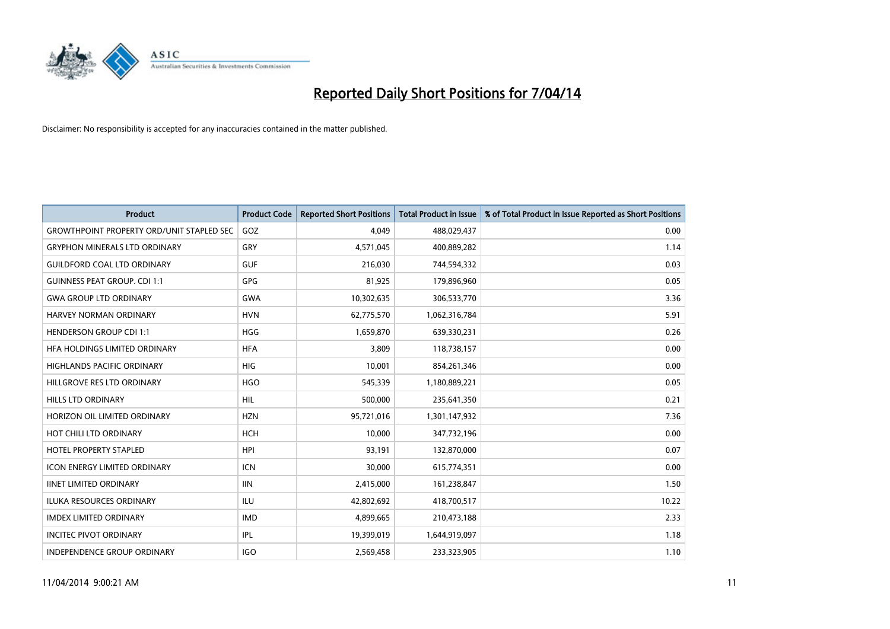

| <b>Product</b>                                   | <b>Product Code</b> | <b>Reported Short Positions</b> | <b>Total Product in Issue</b> | % of Total Product in Issue Reported as Short Positions |
|--------------------------------------------------|---------------------|---------------------------------|-------------------------------|---------------------------------------------------------|
| <b>GROWTHPOINT PROPERTY ORD/UNIT STAPLED SEC</b> | GOZ                 | 4,049                           | 488,029,437                   | 0.00                                                    |
| <b>GRYPHON MINERALS LTD ORDINARY</b>             | GRY                 | 4,571,045                       | 400,889,282                   | 1.14                                                    |
| <b>GUILDFORD COAL LTD ORDINARY</b>               | <b>GUF</b>          | 216,030                         | 744,594,332                   | 0.03                                                    |
| <b>GUINNESS PEAT GROUP. CDI 1:1</b>              | GPG                 | 81,925                          | 179,896,960                   | 0.05                                                    |
| <b>GWA GROUP LTD ORDINARY</b>                    | <b>GWA</b>          | 10,302,635                      | 306,533,770                   | 3.36                                                    |
| HARVEY NORMAN ORDINARY                           | <b>HVN</b>          | 62,775,570                      | 1,062,316,784                 | 5.91                                                    |
| <b>HENDERSON GROUP CDI 1:1</b>                   | <b>HGG</b>          | 1,659,870                       | 639,330,231                   | 0.26                                                    |
| HFA HOLDINGS LIMITED ORDINARY                    | <b>HFA</b>          | 3,809                           | 118,738,157                   | 0.00                                                    |
| HIGHLANDS PACIFIC ORDINARY                       | HIG                 | 10,001                          | 854,261,346                   | 0.00                                                    |
| HILLGROVE RES LTD ORDINARY                       | <b>HGO</b>          | 545,339                         | 1,180,889,221                 | 0.05                                                    |
| HILLS LTD ORDINARY                               | HIL                 | 500,000                         | 235,641,350                   | 0.21                                                    |
| HORIZON OIL LIMITED ORDINARY                     | <b>HZN</b>          | 95,721,016                      | 1,301,147,932                 | 7.36                                                    |
| HOT CHILI LTD ORDINARY                           | <b>HCH</b>          | 10,000                          | 347,732,196                   | 0.00                                                    |
| <b>HOTEL PROPERTY STAPLED</b>                    | <b>HPI</b>          | 93,191                          | 132,870,000                   | 0.07                                                    |
| <b>ICON ENERGY LIMITED ORDINARY</b>              | <b>ICN</b>          | 30,000                          | 615,774,351                   | 0.00                                                    |
| <b>IINET LIMITED ORDINARY</b>                    | <b>IIN</b>          | 2,415,000                       | 161,238,847                   | 1.50                                                    |
| <b>ILUKA RESOURCES ORDINARY</b>                  | <b>ILU</b>          | 42,802,692                      | 418,700,517                   | 10.22                                                   |
| <b>IMDEX LIMITED ORDINARY</b>                    | <b>IMD</b>          | 4,899,665                       | 210,473,188                   | 2.33                                                    |
| <b>INCITEC PIVOT ORDINARY</b>                    | IPL                 | 19,399,019                      | 1,644,919,097                 | 1.18                                                    |
| INDEPENDENCE GROUP ORDINARY                      | <b>IGO</b>          | 2,569,458                       | 233,323,905                   | 1.10                                                    |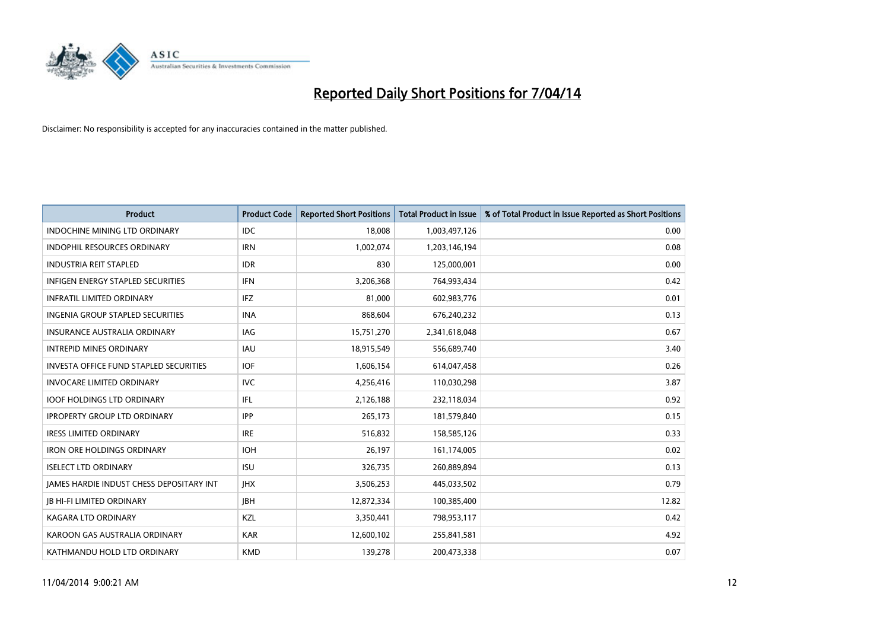

| <b>Product</b>                                | <b>Product Code</b> | <b>Reported Short Positions</b> | <b>Total Product in Issue</b> | % of Total Product in Issue Reported as Short Positions |
|-----------------------------------------------|---------------------|---------------------------------|-------------------------------|---------------------------------------------------------|
| <b>INDOCHINE MINING LTD ORDINARY</b>          | IDC                 | 18,008                          | 1,003,497,126                 | 0.00                                                    |
| <b>INDOPHIL RESOURCES ORDINARY</b>            | <b>IRN</b>          | 1,002,074                       | 1,203,146,194                 | 0.08                                                    |
| <b>INDUSTRIA REIT STAPLED</b>                 | <b>IDR</b>          | 830                             | 125,000,001                   | 0.00                                                    |
| INFIGEN ENERGY STAPLED SECURITIES             | <b>IFN</b>          | 3,206,368                       | 764,993,434                   | 0.42                                                    |
| <b>INFRATIL LIMITED ORDINARY</b>              | <b>IFZ</b>          | 81,000                          | 602,983,776                   | 0.01                                                    |
| INGENIA GROUP STAPLED SECURITIES              | <b>INA</b>          | 868,604                         | 676,240,232                   | 0.13                                                    |
| <b>INSURANCE AUSTRALIA ORDINARY</b>           | <b>IAG</b>          | 15,751,270                      | 2,341,618,048                 | 0.67                                                    |
| <b>INTREPID MINES ORDINARY</b>                | <b>IAU</b>          | 18,915,549                      | 556,689,740                   | 3.40                                                    |
| <b>INVESTA OFFICE FUND STAPLED SECURITIES</b> | <b>IOF</b>          | 1,606,154                       | 614,047,458                   | 0.26                                                    |
| <b>INVOCARE LIMITED ORDINARY</b>              | <b>IVC</b>          | 4,256,416                       | 110,030,298                   | 3.87                                                    |
| <b>IOOF HOLDINGS LTD ORDINARY</b>             | IFL.                | 2,126,188                       | 232,118,034                   | 0.92                                                    |
| <b>IPROPERTY GROUP LTD ORDINARY</b>           | <b>IPP</b>          | 265,173                         | 181,579,840                   | 0.15                                                    |
| <b>IRESS LIMITED ORDINARY</b>                 | <b>IRE</b>          | 516.832                         | 158,585,126                   | 0.33                                                    |
| <b>IRON ORE HOLDINGS ORDINARY</b>             | <b>IOH</b>          | 26.197                          | 161,174,005                   | 0.02                                                    |
| <b>ISELECT LTD ORDINARY</b>                   | <b>ISU</b>          | 326,735                         | 260,889,894                   | 0.13                                                    |
| JAMES HARDIE INDUST CHESS DEPOSITARY INT      | <b>IHX</b>          | 3,506,253                       | 445,033,502                   | 0.79                                                    |
| <b>JB HI-FI LIMITED ORDINARY</b>              | <b>IBH</b>          | 12,872,334                      | 100,385,400                   | 12.82                                                   |
| <b>KAGARA LTD ORDINARY</b>                    | KZL                 | 3,350,441                       | 798,953,117                   | 0.42                                                    |
| KAROON GAS AUSTRALIA ORDINARY                 | <b>KAR</b>          | 12,600,102                      | 255,841,581                   | 4.92                                                    |
| KATHMANDU HOLD LTD ORDINARY                   | <b>KMD</b>          | 139,278                         | 200,473,338                   | 0.07                                                    |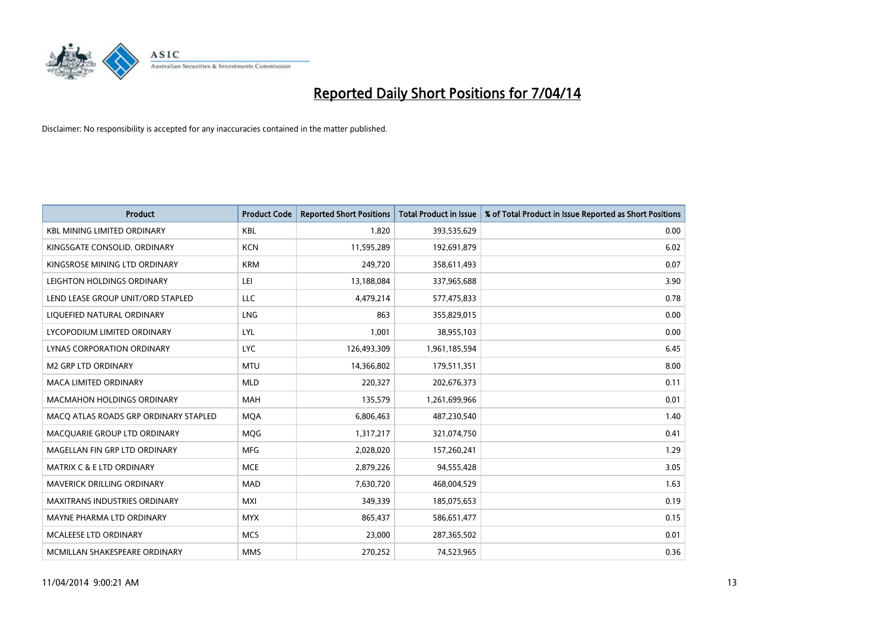

| <b>Product</b>                        | <b>Product Code</b> | <b>Reported Short Positions</b> | <b>Total Product in Issue</b> | % of Total Product in Issue Reported as Short Positions |
|---------------------------------------|---------------------|---------------------------------|-------------------------------|---------------------------------------------------------|
| <b>KBL MINING LIMITED ORDINARY</b>    | <b>KBL</b>          | 1,820                           | 393,535,629                   | 0.00                                                    |
| KINGSGATE CONSOLID. ORDINARY          | <b>KCN</b>          | 11,595,289                      | 192,691,879                   | 6.02                                                    |
| KINGSROSE MINING LTD ORDINARY         | <b>KRM</b>          | 249,720                         | 358,611,493                   | 0.07                                                    |
| LEIGHTON HOLDINGS ORDINARY            | LEI                 | 13,188,084                      | 337,965,688                   | 3.90                                                    |
| LEND LEASE GROUP UNIT/ORD STAPLED     | LLC                 | 4,479,214                       | 577,475,833                   | 0.78                                                    |
| LIQUEFIED NATURAL ORDINARY            | <b>LNG</b>          | 863                             | 355,829,015                   | 0.00                                                    |
| LYCOPODIUM LIMITED ORDINARY           | <b>LYL</b>          | 1,001                           | 38,955,103                    | 0.00                                                    |
| LYNAS CORPORATION ORDINARY            | <b>LYC</b>          | 126,493,309                     | 1,961,185,594                 | 6.45                                                    |
| <b>M2 GRP LTD ORDINARY</b>            | <b>MTU</b>          | 14,366,802                      | 179,511,351                   | 8.00                                                    |
| <b>MACA LIMITED ORDINARY</b>          | <b>MLD</b>          | 220,327                         | 202,676,373                   | 0.11                                                    |
| MACMAHON HOLDINGS ORDINARY            | MAH                 | 135,579                         | 1,261,699,966                 | 0.01                                                    |
| MACO ATLAS ROADS GRP ORDINARY STAPLED | <b>MQA</b>          | 6,806,463                       | 487,230,540                   | 1.40                                                    |
| MACQUARIE GROUP LTD ORDINARY          | <b>MOG</b>          | 1,317,217                       | 321,074,750                   | 0.41                                                    |
| MAGELLAN FIN GRP LTD ORDINARY         | <b>MFG</b>          | 2,028,020                       | 157,260,241                   | 1.29                                                    |
| <b>MATRIX C &amp; E LTD ORDINARY</b>  | <b>MCE</b>          | 2,879,226                       | 94,555,428                    | 3.05                                                    |
| MAVERICK DRILLING ORDINARY            | <b>MAD</b>          | 7,630,720                       | 468,004,529                   | 1.63                                                    |
| MAXITRANS INDUSTRIES ORDINARY         | <b>MXI</b>          | 349,339                         | 185,075,653                   | 0.19                                                    |
| MAYNE PHARMA LTD ORDINARY             | <b>MYX</b>          | 865,437                         | 586,651,477                   | 0.15                                                    |
| <b>MCALEESE LTD ORDINARY</b>          | <b>MCS</b>          | 23,000                          | 287,365,502                   | 0.01                                                    |
| MCMILLAN SHAKESPEARE ORDINARY         | <b>MMS</b>          | 270,252                         | 74,523,965                    | 0.36                                                    |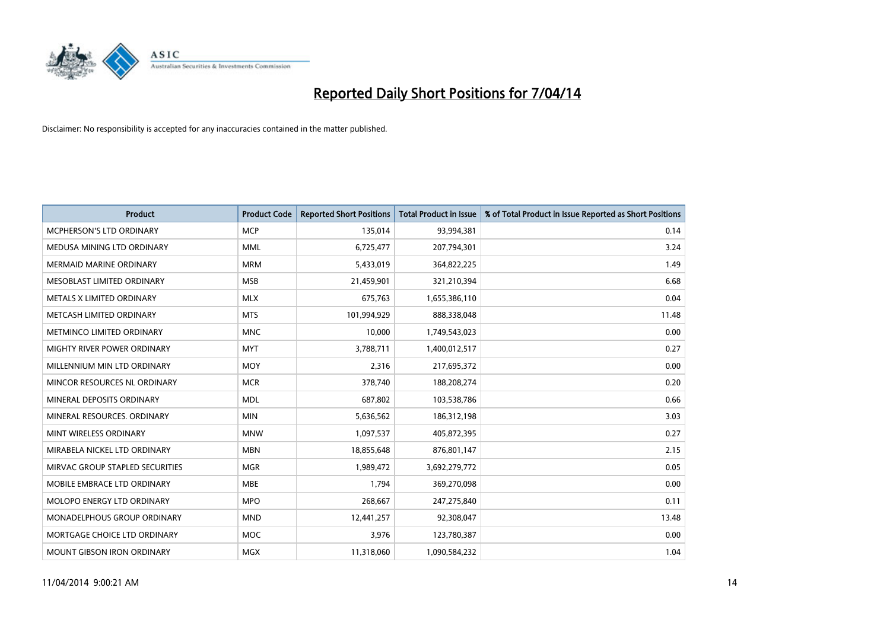

| <b>Product</b>                    | <b>Product Code</b> | <b>Reported Short Positions</b> | <b>Total Product in Issue</b> | % of Total Product in Issue Reported as Short Positions |
|-----------------------------------|---------------------|---------------------------------|-------------------------------|---------------------------------------------------------|
| MCPHERSON'S LTD ORDINARY          | <b>MCP</b>          | 135,014                         | 93,994,381                    | 0.14                                                    |
| MEDUSA MINING LTD ORDINARY        | <b>MML</b>          | 6,725,477                       | 207,794,301                   | 3.24                                                    |
| <b>MERMAID MARINE ORDINARY</b>    | <b>MRM</b>          | 5,433,019                       | 364,822,225                   | 1.49                                                    |
| MESOBLAST LIMITED ORDINARY        | <b>MSB</b>          | 21,459,901                      | 321,210,394                   | 6.68                                                    |
| METALS X LIMITED ORDINARY         | <b>MLX</b>          | 675,763                         | 1,655,386,110                 | 0.04                                                    |
| METCASH LIMITED ORDINARY          | <b>MTS</b>          | 101,994,929                     | 888,338,048                   | 11.48                                                   |
| METMINCO LIMITED ORDINARY         | <b>MNC</b>          | 10,000                          | 1,749,543,023                 | 0.00                                                    |
| MIGHTY RIVER POWER ORDINARY       | <b>MYT</b>          | 3,788,711                       | 1,400,012,517                 | 0.27                                                    |
| MILLENNIUM MIN LTD ORDINARY       | <b>MOY</b>          | 2,316                           | 217,695,372                   | 0.00                                                    |
| MINCOR RESOURCES NL ORDINARY      | <b>MCR</b>          | 378,740                         | 188,208,274                   | 0.20                                                    |
| MINERAL DEPOSITS ORDINARY         | <b>MDL</b>          | 687,802                         | 103,538,786                   | 0.66                                                    |
| MINERAL RESOURCES, ORDINARY       | <b>MIN</b>          | 5,636,562                       | 186,312,198                   | 3.03                                                    |
| MINT WIRELESS ORDINARY            | <b>MNW</b>          | 1,097,537                       | 405,872,395                   | 0.27                                                    |
| MIRABELA NICKEL LTD ORDINARY      | <b>MBN</b>          | 18,855,648                      | 876,801,147                   | 2.15                                                    |
| MIRVAC GROUP STAPLED SECURITIES   | <b>MGR</b>          | 1,989,472                       | 3,692,279,772                 | 0.05                                                    |
| MOBILE EMBRACE LTD ORDINARY       | <b>MBE</b>          | 1,794                           | 369,270,098                   | 0.00                                                    |
| MOLOPO ENERGY LTD ORDINARY        | <b>MPO</b>          | 268,667                         | 247,275,840                   | 0.11                                                    |
| MONADELPHOUS GROUP ORDINARY       | <b>MND</b>          | 12,441,257                      | 92,308,047                    | 13.48                                                   |
| MORTGAGE CHOICE LTD ORDINARY      | <b>MOC</b>          | 3,976                           | 123,780,387                   | 0.00                                                    |
| <b>MOUNT GIBSON IRON ORDINARY</b> | <b>MGX</b>          | 11,318,060                      | 1,090,584,232                 | 1.04                                                    |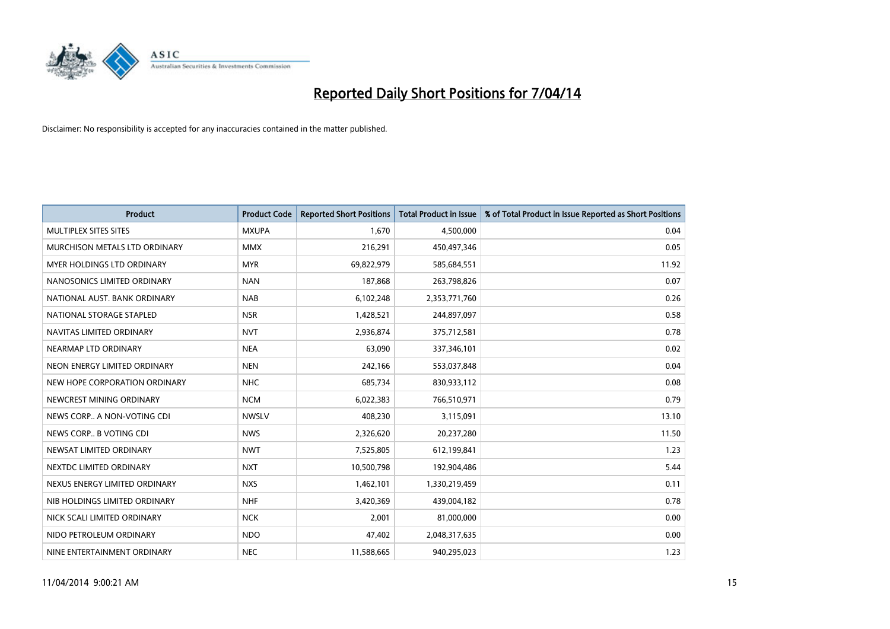

| <b>Product</b>                | <b>Product Code</b> | <b>Reported Short Positions</b> | <b>Total Product in Issue</b> | % of Total Product in Issue Reported as Short Positions |
|-------------------------------|---------------------|---------------------------------|-------------------------------|---------------------------------------------------------|
| MULTIPLEX SITES SITES         | <b>MXUPA</b>        | 1,670                           | 4,500,000                     | 0.04                                                    |
| MURCHISON METALS LTD ORDINARY | <b>MMX</b>          | 216,291                         | 450,497,346                   | 0.05                                                    |
| MYER HOLDINGS LTD ORDINARY    | <b>MYR</b>          | 69,822,979                      | 585,684,551                   | 11.92                                                   |
| NANOSONICS LIMITED ORDINARY   | <b>NAN</b>          | 187,868                         | 263,798,826                   | 0.07                                                    |
| NATIONAL AUST. BANK ORDINARY  | <b>NAB</b>          | 6,102,248                       | 2,353,771,760                 | 0.26                                                    |
| NATIONAL STORAGE STAPLED      | <b>NSR</b>          | 1,428,521                       | 244,897,097                   | 0.58                                                    |
| NAVITAS LIMITED ORDINARY      | <b>NVT</b>          | 2,936,874                       | 375,712,581                   | 0.78                                                    |
| NEARMAP LTD ORDINARY          | <b>NEA</b>          | 63,090                          | 337,346,101                   | 0.02                                                    |
| NEON ENERGY LIMITED ORDINARY  | <b>NEN</b>          | 242,166                         | 553,037,848                   | 0.04                                                    |
| NEW HOPE CORPORATION ORDINARY | <b>NHC</b>          | 685,734                         | 830,933,112                   | 0.08                                                    |
| NEWCREST MINING ORDINARY      | <b>NCM</b>          | 6,022,383                       | 766,510,971                   | 0.79                                                    |
| NEWS CORP A NON-VOTING CDI    | <b>NWSLV</b>        | 408,230                         | 3,115,091                     | 13.10                                                   |
| NEWS CORP B VOTING CDI        | <b>NWS</b>          | 2,326,620                       | 20,237,280                    | 11.50                                                   |
| NEWSAT LIMITED ORDINARY       | <b>NWT</b>          | 7,525,805                       | 612,199,841                   | 1.23                                                    |
| NEXTDC LIMITED ORDINARY       | <b>NXT</b>          | 10,500,798                      | 192,904,486                   | 5.44                                                    |
| NEXUS ENERGY LIMITED ORDINARY | <b>NXS</b>          | 1,462,101                       | 1,330,219,459                 | 0.11                                                    |
| NIB HOLDINGS LIMITED ORDINARY | <b>NHF</b>          | 3,420,369                       | 439,004,182                   | 0.78                                                    |
| NICK SCALI LIMITED ORDINARY   | <b>NCK</b>          | 2,001                           | 81,000,000                    | 0.00                                                    |
| NIDO PETROLEUM ORDINARY       | <b>NDO</b>          | 47,402                          | 2,048,317,635                 | 0.00                                                    |
| NINE ENTERTAINMENT ORDINARY   | <b>NEC</b>          | 11,588,665                      | 940,295,023                   | 1.23                                                    |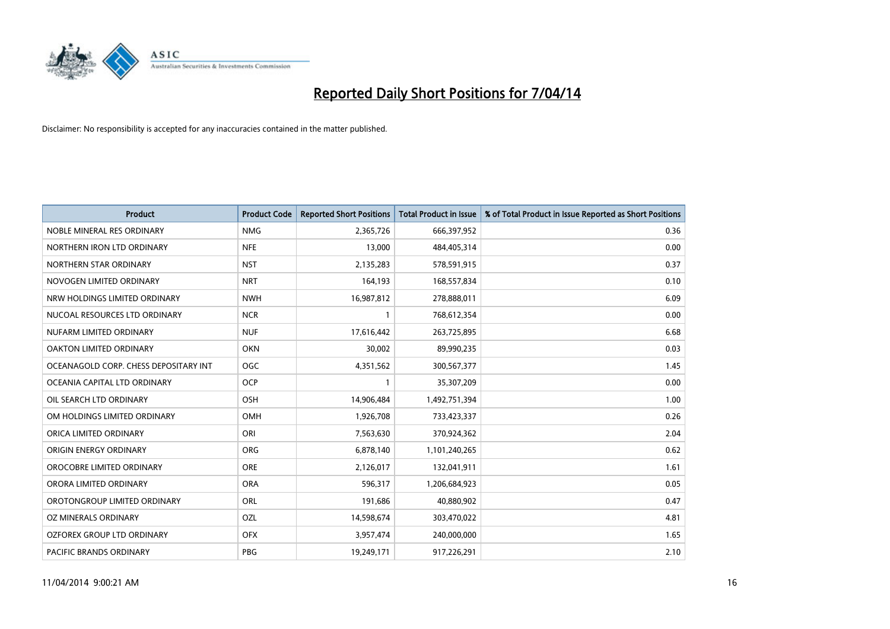

| <b>Product</b>                        | <b>Product Code</b> | <b>Reported Short Positions</b> | <b>Total Product in Issue</b> | % of Total Product in Issue Reported as Short Positions |
|---------------------------------------|---------------------|---------------------------------|-------------------------------|---------------------------------------------------------|
| NOBLE MINERAL RES ORDINARY            | <b>NMG</b>          | 2,365,726                       | 666,397,952                   | 0.36                                                    |
| NORTHERN IRON LTD ORDINARY            | <b>NFE</b>          | 13,000                          | 484,405,314                   | 0.00                                                    |
| NORTHERN STAR ORDINARY                | <b>NST</b>          | 2,135,283                       | 578,591,915                   | 0.37                                                    |
| NOVOGEN LIMITED ORDINARY              | <b>NRT</b>          | 164,193                         | 168,557,834                   | 0.10                                                    |
| NRW HOLDINGS LIMITED ORDINARY         | <b>NWH</b>          | 16,987,812                      | 278,888,011                   | 6.09                                                    |
| NUCOAL RESOURCES LTD ORDINARY         | <b>NCR</b>          | $\mathbf{1}$                    | 768,612,354                   | 0.00                                                    |
| NUFARM LIMITED ORDINARY               | <b>NUF</b>          | 17,616,442                      | 263,725,895                   | 6.68                                                    |
| OAKTON LIMITED ORDINARY               | <b>OKN</b>          | 30,002                          | 89,990,235                    | 0.03                                                    |
| OCEANAGOLD CORP. CHESS DEPOSITARY INT | <b>OGC</b>          | 4,351,562                       | 300,567,377                   | 1.45                                                    |
| OCEANIA CAPITAL LTD ORDINARY          | <b>OCP</b>          | $\mathbf{1}$                    | 35,307,209                    | 0.00                                                    |
| OIL SEARCH LTD ORDINARY               | OSH                 | 14,906,484                      | 1,492,751,394                 | 1.00                                                    |
| OM HOLDINGS LIMITED ORDINARY          | OMH                 | 1,926,708                       | 733,423,337                   | 0.26                                                    |
| ORICA LIMITED ORDINARY                | ORI                 | 7,563,630                       | 370,924,362                   | 2.04                                                    |
| ORIGIN ENERGY ORDINARY                | ORG                 | 6,878,140                       | 1,101,240,265                 | 0.62                                                    |
| OROCOBRE LIMITED ORDINARY             | <b>ORE</b>          | 2,126,017                       | 132,041,911                   | 1.61                                                    |
| ORORA LIMITED ORDINARY                | <b>ORA</b>          | 596,317                         | 1,206,684,923                 | 0.05                                                    |
| OROTONGROUP LIMITED ORDINARY          | ORL                 | 191,686                         | 40,880,902                    | 0.47                                                    |
| OZ MINERALS ORDINARY                  | OZL                 | 14,598,674                      | 303,470,022                   | 4.81                                                    |
| OZFOREX GROUP LTD ORDINARY            | <b>OFX</b>          | 3,957,474                       | 240,000,000                   | 1.65                                                    |
| PACIFIC BRANDS ORDINARY               | <b>PBG</b>          | 19,249,171                      | 917,226,291                   | 2.10                                                    |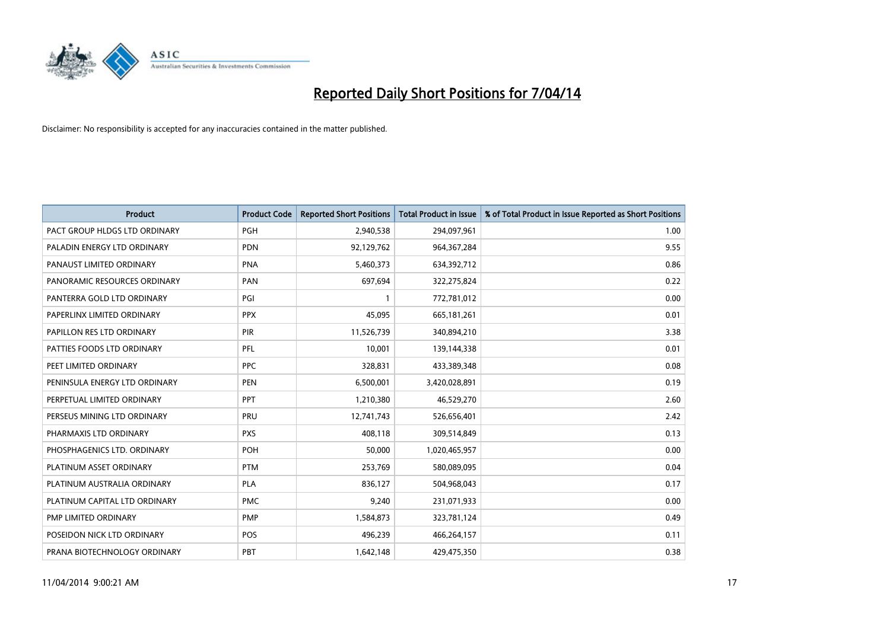

| <b>Product</b>                | <b>Product Code</b> | <b>Reported Short Positions</b> | <b>Total Product in Issue</b> | % of Total Product in Issue Reported as Short Positions |
|-------------------------------|---------------------|---------------------------------|-------------------------------|---------------------------------------------------------|
| PACT GROUP HLDGS LTD ORDINARY | <b>PGH</b>          | 2,940,538                       | 294,097,961                   | 1.00                                                    |
| PALADIN ENERGY LTD ORDINARY   | <b>PDN</b>          | 92,129,762                      | 964, 367, 284                 | 9.55                                                    |
| PANAUST LIMITED ORDINARY      | <b>PNA</b>          | 5,460,373                       | 634,392,712                   | 0.86                                                    |
| PANORAMIC RESOURCES ORDINARY  | PAN                 | 697,694                         | 322,275,824                   | 0.22                                                    |
| PANTERRA GOLD LTD ORDINARY    | PGI                 | $\mathbf{1}$                    | 772,781,012                   | 0.00                                                    |
| PAPERLINX LIMITED ORDINARY    | <b>PPX</b>          | 45,095                          | 665,181,261                   | 0.01                                                    |
| PAPILLON RES LTD ORDINARY     | PIR                 | 11,526,739                      | 340,894,210                   | 3.38                                                    |
| PATTIES FOODS LTD ORDINARY    | PFL                 | 10,001                          | 139,144,338                   | 0.01                                                    |
| PEET LIMITED ORDINARY         | <b>PPC</b>          | 328,831                         | 433,389,348                   | 0.08                                                    |
| PENINSULA ENERGY LTD ORDINARY | <b>PEN</b>          | 6,500,001                       | 3,420,028,891                 | 0.19                                                    |
| PERPETUAL LIMITED ORDINARY    | PPT                 | 1,210,380                       | 46,529,270                    | 2.60                                                    |
| PERSEUS MINING LTD ORDINARY   | PRU                 | 12,741,743                      | 526,656,401                   | 2.42                                                    |
| PHARMAXIS LTD ORDINARY        | <b>PXS</b>          | 408,118                         | 309,514,849                   | 0.13                                                    |
| PHOSPHAGENICS LTD. ORDINARY   | <b>POH</b>          | 50,000                          | 1,020,465,957                 | 0.00                                                    |
| PLATINUM ASSET ORDINARY       | <b>PTM</b>          | 253,769                         | 580,089,095                   | 0.04                                                    |
| PLATINUM AUSTRALIA ORDINARY   | <b>PLA</b>          | 836,127                         | 504,968,043                   | 0.17                                                    |
| PLATINUM CAPITAL LTD ORDINARY | <b>PMC</b>          | 9,240                           | 231,071,933                   | 0.00                                                    |
| PMP LIMITED ORDINARY          | <b>PMP</b>          | 1,584,873                       | 323,781,124                   | 0.49                                                    |
| POSEIDON NICK LTD ORDINARY    | <b>POS</b>          | 496,239                         | 466,264,157                   | 0.11                                                    |
| PRANA BIOTECHNOLOGY ORDINARY  | <b>PBT</b>          | 1,642,148                       | 429,475,350                   | 0.38                                                    |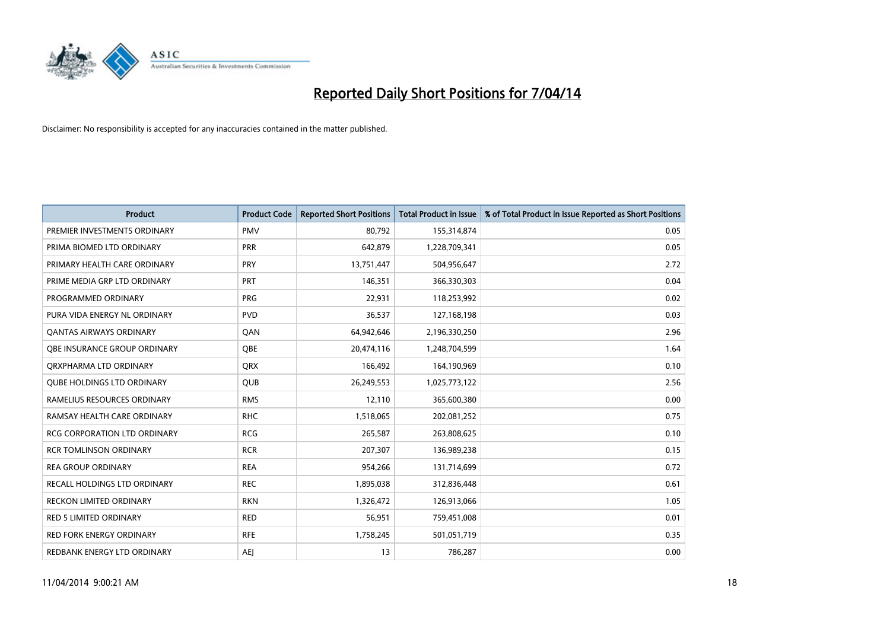

| <b>Product</b>                    | <b>Product Code</b> | <b>Reported Short Positions</b> | <b>Total Product in Issue</b> | % of Total Product in Issue Reported as Short Positions |
|-----------------------------------|---------------------|---------------------------------|-------------------------------|---------------------------------------------------------|
| PREMIER INVESTMENTS ORDINARY      | <b>PMV</b>          | 80,792                          | 155,314,874                   | 0.05                                                    |
| PRIMA BIOMED LTD ORDINARY         | <b>PRR</b>          | 642.879                         | 1,228,709,341                 | 0.05                                                    |
| PRIMARY HEALTH CARE ORDINARY      | <b>PRY</b>          | 13,751,447                      | 504,956,647                   | 2.72                                                    |
| PRIME MEDIA GRP LTD ORDINARY      | <b>PRT</b>          | 146,351                         | 366,330,303                   | 0.04                                                    |
| PROGRAMMED ORDINARY               | <b>PRG</b>          | 22,931                          | 118,253,992                   | 0.02                                                    |
| PURA VIDA ENERGY NL ORDINARY      | <b>PVD</b>          | 36,537                          | 127,168,198                   | 0.03                                                    |
| <b>QANTAS AIRWAYS ORDINARY</b>    | QAN                 | 64,942,646                      | 2,196,330,250                 | 2.96                                                    |
| OBE INSURANCE GROUP ORDINARY      | <b>OBE</b>          | 20,474,116                      | 1,248,704,599                 | 1.64                                                    |
| ORXPHARMA LTD ORDINARY            | QRX                 | 166,492                         | 164,190,969                   | 0.10                                                    |
| <b>QUBE HOLDINGS LTD ORDINARY</b> | <b>QUB</b>          | 26,249,553                      | 1,025,773,122                 | 2.56                                                    |
| RAMELIUS RESOURCES ORDINARY       | <b>RMS</b>          | 12,110                          | 365,600,380                   | 0.00                                                    |
| RAMSAY HEALTH CARE ORDINARY       | <b>RHC</b>          | 1,518,065                       | 202,081,252                   | 0.75                                                    |
| RCG CORPORATION LTD ORDINARY      | <b>RCG</b>          | 265,587                         | 263,808,625                   | 0.10                                                    |
| <b>RCR TOMLINSON ORDINARY</b>     | <b>RCR</b>          | 207,307                         | 136,989,238                   | 0.15                                                    |
| <b>REA GROUP ORDINARY</b>         | <b>REA</b>          | 954,266                         | 131,714,699                   | 0.72                                                    |
| RECALL HOLDINGS LTD ORDINARY      | <b>REC</b>          | 1,895,038                       | 312,836,448                   | 0.61                                                    |
| <b>RECKON LIMITED ORDINARY</b>    | <b>RKN</b>          | 1,326,472                       | 126,913,066                   | 1.05                                                    |
| RED 5 LIMITED ORDINARY            | <b>RED</b>          | 56,951                          | 759,451,008                   | 0.01                                                    |
| <b>RED FORK ENERGY ORDINARY</b>   | <b>RFE</b>          | 1,758,245                       | 501,051,719                   | 0.35                                                    |
| REDBANK ENERGY LTD ORDINARY       | AEJ                 | 13                              | 786,287                       | 0.00                                                    |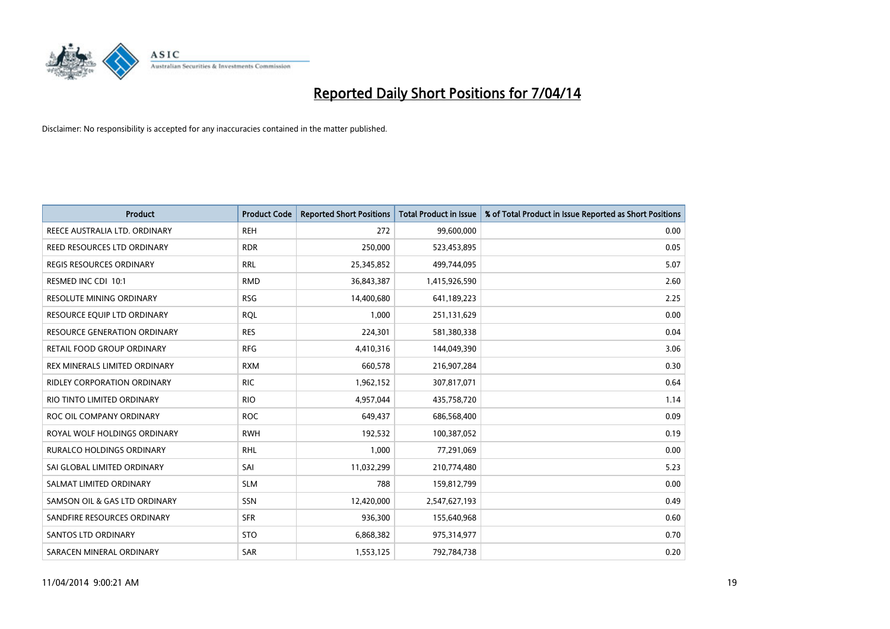

| Product                             | <b>Product Code</b> | <b>Reported Short Positions</b> | <b>Total Product in Issue</b> | % of Total Product in Issue Reported as Short Positions |
|-------------------------------------|---------------------|---------------------------------|-------------------------------|---------------------------------------------------------|
| REECE AUSTRALIA LTD. ORDINARY       | <b>REH</b>          | 272                             | 99,600,000                    | 0.00                                                    |
| REED RESOURCES LTD ORDINARY         | <b>RDR</b>          | 250,000                         | 523,453,895                   | 0.05                                                    |
| REGIS RESOURCES ORDINARY            | <b>RRL</b>          | 25,345,852                      | 499,744,095                   | 5.07                                                    |
| RESMED INC CDI 10:1                 | <b>RMD</b>          | 36,843,387                      | 1,415,926,590                 | 2.60                                                    |
| <b>RESOLUTE MINING ORDINARY</b>     | <b>RSG</b>          | 14,400,680                      | 641,189,223                   | 2.25                                                    |
| RESOURCE EQUIP LTD ORDINARY         | <b>ROL</b>          | 1,000                           | 251,131,629                   | 0.00                                                    |
| <b>RESOURCE GENERATION ORDINARY</b> | <b>RES</b>          | 224,301                         | 581,380,338                   | 0.04                                                    |
| RETAIL FOOD GROUP ORDINARY          | <b>RFG</b>          | 4,410,316                       | 144,049,390                   | 3.06                                                    |
| REX MINERALS LIMITED ORDINARY       | <b>RXM</b>          | 660,578                         | 216,907,284                   | 0.30                                                    |
| <b>RIDLEY CORPORATION ORDINARY</b>  | <b>RIC</b>          | 1,962,152                       | 307,817,071                   | 0.64                                                    |
| RIO TINTO LIMITED ORDINARY          | <b>RIO</b>          | 4,957,044                       | 435,758,720                   | 1.14                                                    |
| ROC OIL COMPANY ORDINARY            | <b>ROC</b>          | 649,437                         | 686,568,400                   | 0.09                                                    |
| ROYAL WOLF HOLDINGS ORDINARY        | <b>RWH</b>          | 192,532                         | 100,387,052                   | 0.19                                                    |
| RURALCO HOLDINGS ORDINARY           | <b>RHL</b>          | 1,000                           | 77,291,069                    | 0.00                                                    |
| SAI GLOBAL LIMITED ORDINARY         | SAI                 | 11,032,299                      | 210,774,480                   | 5.23                                                    |
| SALMAT LIMITED ORDINARY             | <b>SLM</b>          | 788                             | 159,812,799                   | 0.00                                                    |
| SAMSON OIL & GAS LTD ORDINARY       | SSN                 | 12,420,000                      | 2,547,627,193                 | 0.49                                                    |
| SANDFIRE RESOURCES ORDINARY         | <b>SFR</b>          | 936,300                         | 155,640,968                   | 0.60                                                    |
| SANTOS LTD ORDINARY                 | <b>STO</b>          | 6,868,382                       | 975,314,977                   | 0.70                                                    |
| SARACEN MINERAL ORDINARY            | SAR                 | 1,553,125                       | 792,784,738                   | 0.20                                                    |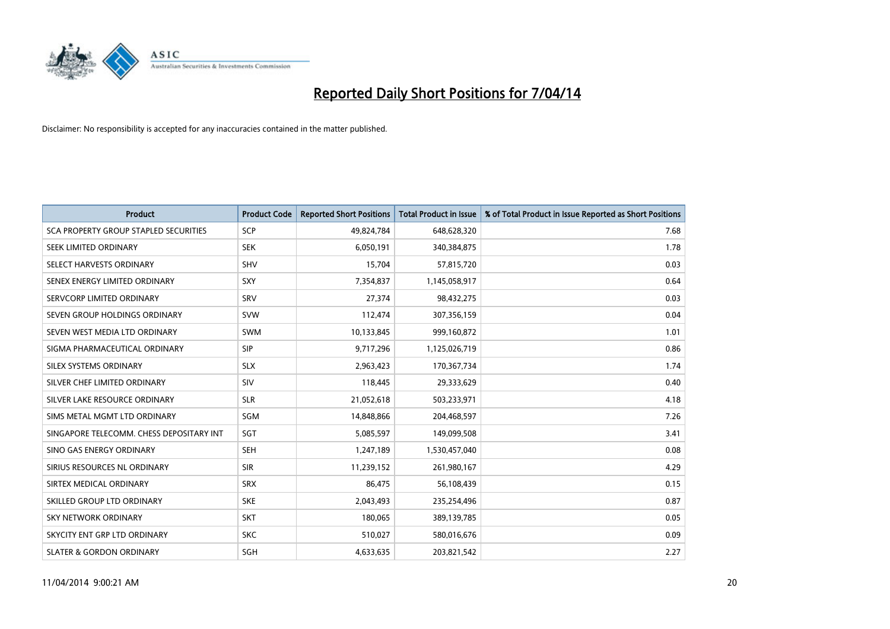

| <b>Product</b>                           | <b>Product Code</b> | <b>Reported Short Positions</b> | <b>Total Product in Issue</b> | % of Total Product in Issue Reported as Short Positions |
|------------------------------------------|---------------------|---------------------------------|-------------------------------|---------------------------------------------------------|
| SCA PROPERTY GROUP STAPLED SECURITIES    | <b>SCP</b>          | 49,824,784                      | 648,628,320                   | 7.68                                                    |
| SEEK LIMITED ORDINARY                    | <b>SEK</b>          | 6,050,191                       | 340,384,875                   | 1.78                                                    |
| SELECT HARVESTS ORDINARY                 | SHV                 | 15,704                          | 57,815,720                    | 0.03                                                    |
| SENEX ENERGY LIMITED ORDINARY            | <b>SXY</b>          | 7,354,837                       | 1,145,058,917                 | 0.64                                                    |
| SERVCORP LIMITED ORDINARY                | SRV                 | 27,374                          | 98,432,275                    | 0.03                                                    |
| SEVEN GROUP HOLDINGS ORDINARY            | <b>SVW</b>          | 112,474                         | 307,356,159                   | 0.04                                                    |
| SEVEN WEST MEDIA LTD ORDINARY            | <b>SWM</b>          | 10,133,845                      | 999,160,872                   | 1.01                                                    |
| SIGMA PHARMACEUTICAL ORDINARY            | <b>SIP</b>          | 9,717,296                       | 1,125,026,719                 | 0.86                                                    |
| SILEX SYSTEMS ORDINARY                   | <b>SLX</b>          | 2,963,423                       | 170,367,734                   | 1.74                                                    |
| SILVER CHEF LIMITED ORDINARY             | SIV                 | 118,445                         | 29,333,629                    | 0.40                                                    |
| SILVER LAKE RESOURCE ORDINARY            | <b>SLR</b>          | 21,052,618                      | 503,233,971                   | 4.18                                                    |
| SIMS METAL MGMT LTD ORDINARY             | SGM                 | 14,848,866                      | 204,468,597                   | 7.26                                                    |
| SINGAPORE TELECOMM. CHESS DEPOSITARY INT | SGT                 | 5,085,597                       | 149,099,508                   | 3.41                                                    |
| SINO GAS ENERGY ORDINARY                 | SEH                 | 1,247,189                       | 1,530,457,040                 | 0.08                                                    |
| SIRIUS RESOURCES NL ORDINARY             | <b>SIR</b>          | 11,239,152                      | 261,980,167                   | 4.29                                                    |
| SIRTEX MEDICAL ORDINARY                  | <b>SRX</b>          | 86,475                          | 56,108,439                    | 0.15                                                    |
| SKILLED GROUP LTD ORDINARY               | <b>SKE</b>          | 2,043,493                       | 235,254,496                   | 0.87                                                    |
| SKY NETWORK ORDINARY                     | <b>SKT</b>          | 180,065                         | 389,139,785                   | 0.05                                                    |
| SKYCITY ENT GRP LTD ORDINARY             | <b>SKC</b>          | 510,027                         | 580,016,676                   | 0.09                                                    |
| <b>SLATER &amp; GORDON ORDINARY</b>      | SGH                 | 4,633,635                       | 203,821,542                   | 2.27                                                    |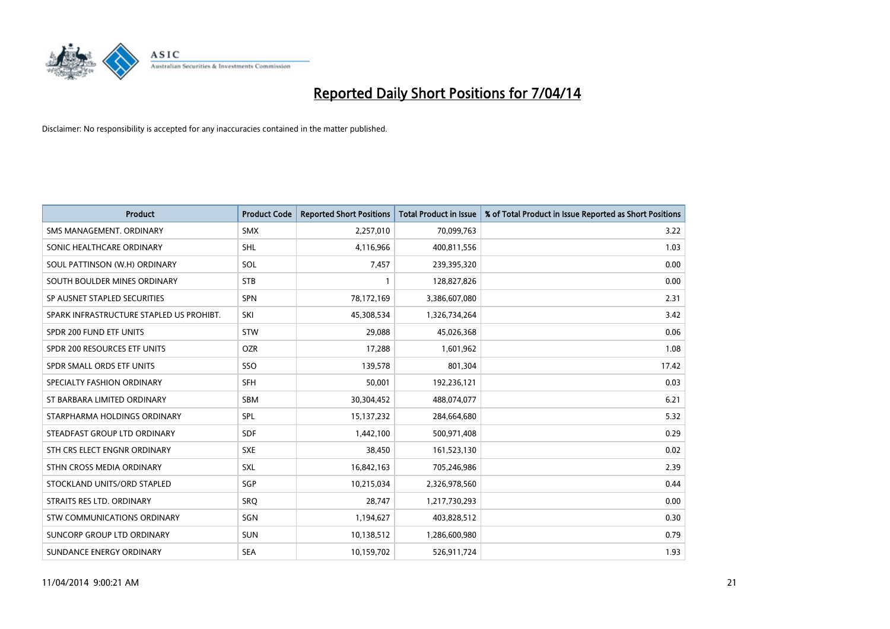

| <b>Product</b>                           | <b>Product Code</b> | <b>Reported Short Positions</b> | <b>Total Product in Issue</b> | % of Total Product in Issue Reported as Short Positions |
|------------------------------------------|---------------------|---------------------------------|-------------------------------|---------------------------------------------------------|
| SMS MANAGEMENT, ORDINARY                 | <b>SMX</b>          | 2,257,010                       | 70,099,763                    | 3.22                                                    |
| SONIC HEALTHCARE ORDINARY                | <b>SHL</b>          | 4,116,966                       | 400,811,556                   | 1.03                                                    |
| SOUL PATTINSON (W.H) ORDINARY            | <b>SOL</b>          | 7,457                           | 239,395,320                   | 0.00                                                    |
| SOUTH BOULDER MINES ORDINARY             | <b>STB</b>          | 1                               | 128,827,826                   | 0.00                                                    |
| SP AUSNET STAPLED SECURITIES             | SPN                 | 78,172,169                      | 3,386,607,080                 | 2.31                                                    |
| SPARK INFRASTRUCTURE STAPLED US PROHIBT. | SKI                 | 45,308,534                      | 1,326,734,264                 | 3.42                                                    |
| SPDR 200 FUND ETF UNITS                  | <b>STW</b>          | 29.088                          | 45,026,368                    | 0.06                                                    |
| SPDR 200 RESOURCES ETF UNITS             | <b>OZR</b>          | 17,288                          | 1,601,962                     | 1.08                                                    |
| SPDR SMALL ORDS ETF UNITS                | SSO                 | 139,578                         | 801,304                       | 17.42                                                   |
| SPECIALTY FASHION ORDINARY               | SFH                 | 50,001                          | 192,236,121                   | 0.03                                                    |
| ST BARBARA LIMITED ORDINARY              | SBM                 | 30,304,452                      | 488,074,077                   | 6.21                                                    |
| STARPHARMA HOLDINGS ORDINARY             | <b>SPL</b>          | 15,137,232                      | 284,664,680                   | 5.32                                                    |
| STEADFAST GROUP LTD ORDINARY             | <b>SDF</b>          | 1,442,100                       | 500,971,408                   | 0.29                                                    |
| STH CRS ELECT ENGNR ORDINARY             | <b>SXE</b>          | 38,450                          | 161,523,130                   | 0.02                                                    |
| STHN CROSS MEDIA ORDINARY                | SXL                 | 16,842,163                      | 705,246,986                   | 2.39                                                    |
| STOCKLAND UNITS/ORD STAPLED              | SGP                 | 10,215,034                      | 2,326,978,560                 | 0.44                                                    |
| STRAITS RES LTD. ORDINARY                | SRQ                 | 28,747                          | 1,217,730,293                 | 0.00                                                    |
| STW COMMUNICATIONS ORDINARY              | <b>SGN</b>          | 1,194,627                       | 403,828,512                   | 0.30                                                    |
| SUNCORP GROUP LTD ORDINARY               | <b>SUN</b>          | 10,138,512                      | 1,286,600,980                 | 0.79                                                    |
| SUNDANCE ENERGY ORDINARY                 | <b>SEA</b>          | 10,159,702                      | 526,911,724                   | 1.93                                                    |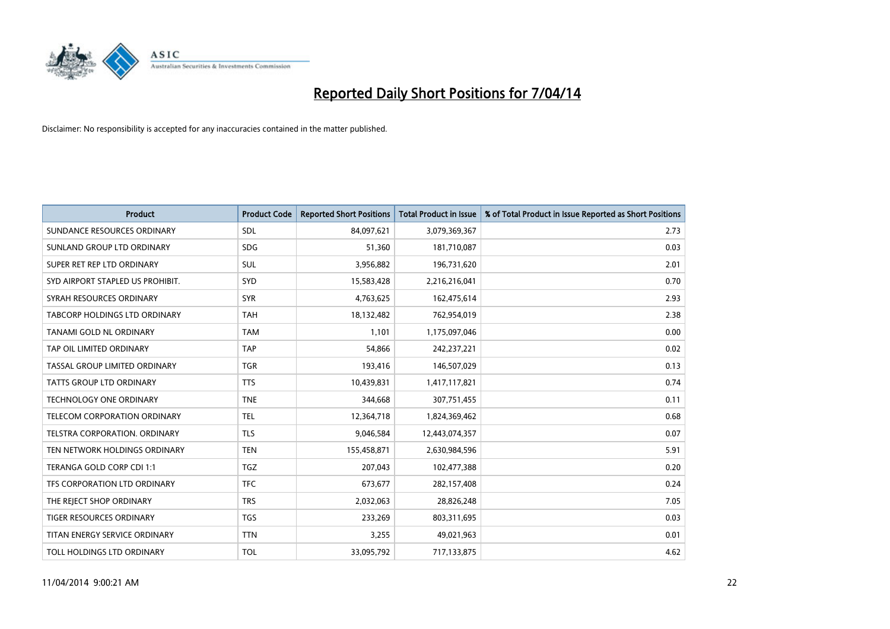

| <b>Product</b>                       | <b>Product Code</b> | <b>Reported Short Positions</b> | <b>Total Product in Issue</b> | % of Total Product in Issue Reported as Short Positions |
|--------------------------------------|---------------------|---------------------------------|-------------------------------|---------------------------------------------------------|
| SUNDANCE RESOURCES ORDINARY          | <b>SDL</b>          | 84,097,621                      | 3,079,369,367                 | 2.73                                                    |
| SUNLAND GROUP LTD ORDINARY           | <b>SDG</b>          | 51,360                          | 181,710,087                   | 0.03                                                    |
| SUPER RET REP LTD ORDINARY           | SUL                 | 3,956,882                       | 196,731,620                   | 2.01                                                    |
| SYD AIRPORT STAPLED US PROHIBIT.     | SYD                 | 15,583,428                      | 2,216,216,041                 | 0.70                                                    |
| SYRAH RESOURCES ORDINARY             | <b>SYR</b>          | 4,763,625                       | 162,475,614                   | 2.93                                                    |
| TABCORP HOLDINGS LTD ORDINARY        | <b>TAH</b>          | 18,132,482                      | 762,954,019                   | 2.38                                                    |
| TANAMI GOLD NL ORDINARY              | <b>TAM</b>          | 1,101                           | 1,175,097,046                 | 0.00                                                    |
| TAP OIL LIMITED ORDINARY             | <b>TAP</b>          | 54,866                          | 242,237,221                   | 0.02                                                    |
| TASSAL GROUP LIMITED ORDINARY        | <b>TGR</b>          | 193,416                         | 146,507,029                   | 0.13                                                    |
| TATTS GROUP LTD ORDINARY             | <b>TTS</b>          | 10,439,831                      | 1,417,117,821                 | 0.74                                                    |
| <b>TECHNOLOGY ONE ORDINARY</b>       | <b>TNE</b>          | 344,668                         | 307,751,455                   | 0.11                                                    |
| TELECOM CORPORATION ORDINARY         | <b>TEL</b>          | 12,364,718                      | 1,824,369,462                 | 0.68                                                    |
| <b>TELSTRA CORPORATION, ORDINARY</b> | <b>TLS</b>          | 9,046,584                       | 12,443,074,357                | 0.07                                                    |
| TEN NETWORK HOLDINGS ORDINARY        | <b>TEN</b>          | 155,458,871                     | 2,630,984,596                 | 5.91                                                    |
| TERANGA GOLD CORP CDI 1:1            | <b>TGZ</b>          | 207,043                         | 102,477,388                   | 0.20                                                    |
| TFS CORPORATION LTD ORDINARY         | <b>TFC</b>          | 673,677                         | 282,157,408                   | 0.24                                                    |
| THE REJECT SHOP ORDINARY             | <b>TRS</b>          | 2,032,063                       | 28,826,248                    | 7.05                                                    |
| TIGER RESOURCES ORDINARY             | <b>TGS</b>          | 233,269                         | 803,311,695                   | 0.03                                                    |
| TITAN ENERGY SERVICE ORDINARY        | <b>TTN</b>          | 3,255                           | 49,021,963                    | 0.01                                                    |
| TOLL HOLDINGS LTD ORDINARY           | <b>TOL</b>          | 33,095,792                      | 717,133,875                   | 4.62                                                    |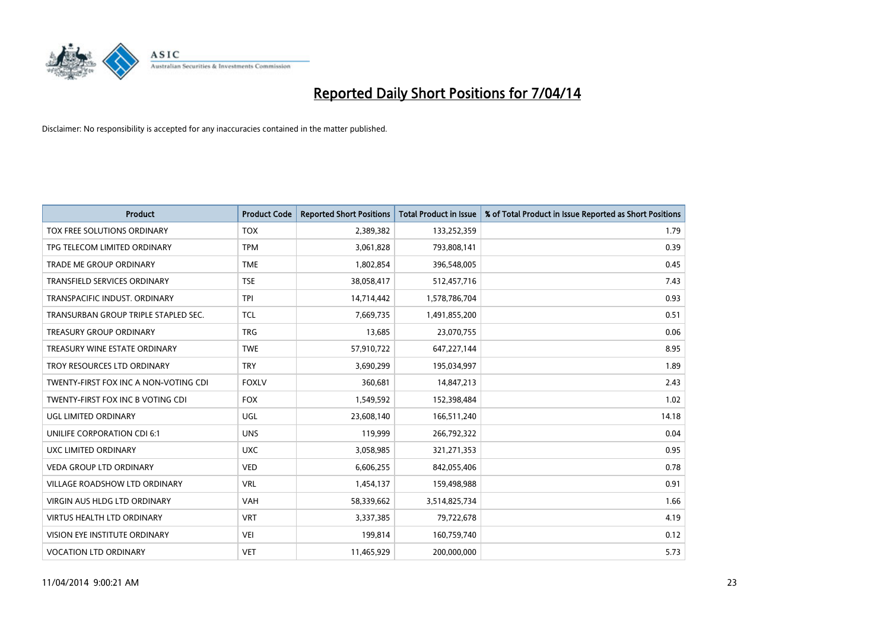

| <b>Product</b>                        | <b>Product Code</b> | <b>Reported Short Positions</b> | <b>Total Product in Issue</b> | % of Total Product in Issue Reported as Short Positions |
|---------------------------------------|---------------------|---------------------------------|-------------------------------|---------------------------------------------------------|
| TOX FREE SOLUTIONS ORDINARY           | <b>TOX</b>          | 2,389,382                       | 133,252,359                   | 1.79                                                    |
| TPG TELECOM LIMITED ORDINARY          | <b>TPM</b>          | 3,061,828                       | 793,808,141                   | 0.39                                                    |
| <b>TRADE ME GROUP ORDINARY</b>        | <b>TME</b>          | 1,802,854                       | 396,548,005                   | 0.45                                                    |
| TRANSFIELD SERVICES ORDINARY          | <b>TSE</b>          | 38,058,417                      | 512,457,716                   | 7.43                                                    |
| TRANSPACIFIC INDUST, ORDINARY         | <b>TPI</b>          | 14,714,442                      | 1,578,786,704                 | 0.93                                                    |
| TRANSURBAN GROUP TRIPLE STAPLED SEC.  | <b>TCL</b>          | 7,669,735                       | 1,491,855,200                 | 0.51                                                    |
| <b>TREASURY GROUP ORDINARY</b>        | <b>TRG</b>          | 13,685                          | 23,070,755                    | 0.06                                                    |
| TREASURY WINE ESTATE ORDINARY         | <b>TWE</b>          | 57,910,722                      | 647,227,144                   | 8.95                                                    |
| TROY RESOURCES LTD ORDINARY           | <b>TRY</b>          | 3,690,299                       | 195,034,997                   | 1.89                                                    |
| TWENTY-FIRST FOX INC A NON-VOTING CDI | <b>FOXLV</b>        | 360,681                         | 14,847,213                    | 2.43                                                    |
| TWENTY-FIRST FOX INC B VOTING CDI     | <b>FOX</b>          | 1,549,592                       | 152,398,484                   | 1.02                                                    |
| UGL LIMITED ORDINARY                  | UGL                 | 23,608,140                      | 166,511,240                   | 14.18                                                   |
| UNILIFE CORPORATION CDI 6:1           | <b>UNS</b>          | 119,999                         | 266,792,322                   | 0.04                                                    |
| UXC LIMITED ORDINARY                  | <b>UXC</b>          | 3,058,985                       | 321,271,353                   | 0.95                                                    |
| <b>VEDA GROUP LTD ORDINARY</b>        | <b>VED</b>          | 6,606,255                       | 842,055,406                   | 0.78                                                    |
| VILLAGE ROADSHOW LTD ORDINARY         | <b>VRL</b>          | 1,454,137                       | 159,498,988                   | 0.91                                                    |
| VIRGIN AUS HLDG LTD ORDINARY          | VAH                 | 58,339,662                      | 3,514,825,734                 | 1.66                                                    |
| <b>VIRTUS HEALTH LTD ORDINARY</b>     | <b>VRT</b>          | 3,337,385                       | 79,722,678                    | 4.19                                                    |
| VISION EYE INSTITUTE ORDINARY         | <b>VEI</b>          | 199,814                         | 160,759,740                   | 0.12                                                    |
| <b>VOCATION LTD ORDINARY</b>          | <b>VET</b>          | 11,465,929                      | 200,000,000                   | 5.73                                                    |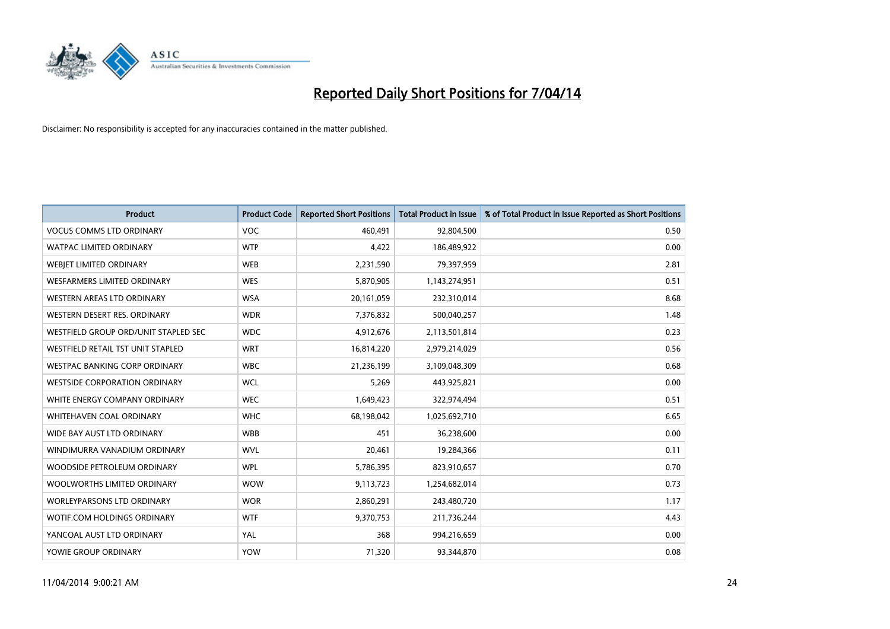

| <b>Product</b>                       | <b>Product Code</b> | <b>Reported Short Positions</b> | <b>Total Product in Issue</b> | % of Total Product in Issue Reported as Short Positions |
|--------------------------------------|---------------------|---------------------------------|-------------------------------|---------------------------------------------------------|
| <b>VOCUS COMMS LTD ORDINARY</b>      | <b>VOC</b>          | 460,491                         | 92,804,500                    | 0.50                                                    |
| <b>WATPAC LIMITED ORDINARY</b>       | <b>WTP</b>          | 4,422                           | 186,489,922                   | 0.00                                                    |
| WEBJET LIMITED ORDINARY              | <b>WEB</b>          | 2,231,590                       | 79,397,959                    | 2.81                                                    |
| <b>WESFARMERS LIMITED ORDINARY</b>   | <b>WES</b>          | 5,870,905                       | 1,143,274,951                 | 0.51                                                    |
| WESTERN AREAS LTD ORDINARY           | <b>WSA</b>          | 20, 161, 059                    | 232,310,014                   | 8.68                                                    |
| WESTERN DESERT RES. ORDINARY         | <b>WDR</b>          | 7,376,832                       | 500,040,257                   | 1.48                                                    |
| WESTFIELD GROUP ORD/UNIT STAPLED SEC | <b>WDC</b>          | 4,912,676                       | 2,113,501,814                 | 0.23                                                    |
| WESTFIELD RETAIL TST UNIT STAPLED    | <b>WRT</b>          | 16,814,220                      | 2,979,214,029                 | 0.56                                                    |
| <b>WESTPAC BANKING CORP ORDINARY</b> | <b>WBC</b>          | 21,236,199                      | 3,109,048,309                 | 0.68                                                    |
| <b>WESTSIDE CORPORATION ORDINARY</b> | <b>WCL</b>          | 5,269                           | 443,925,821                   | 0.00                                                    |
| WHITE ENERGY COMPANY ORDINARY        | <b>WEC</b>          | 1,649,423                       | 322,974,494                   | 0.51                                                    |
| WHITEHAVEN COAL ORDINARY             | <b>WHC</b>          | 68,198,042                      | 1,025,692,710                 | 6.65                                                    |
| WIDE BAY AUST LTD ORDINARY           | <b>WBB</b>          | 451                             | 36,238,600                    | 0.00                                                    |
| WINDIMURRA VANADIUM ORDINARY         | <b>WVL</b>          | 20,461                          | 19,284,366                    | 0.11                                                    |
| WOODSIDE PETROLEUM ORDINARY          | <b>WPL</b>          | 5,786,395                       | 823,910,657                   | 0.70                                                    |
| WOOLWORTHS LIMITED ORDINARY          | <b>WOW</b>          | 9,113,723                       | 1,254,682,014                 | 0.73                                                    |
| <b>WORLEYPARSONS LTD ORDINARY</b>    | <b>WOR</b>          | 2,860,291                       | 243,480,720                   | 1.17                                                    |
| WOTIF.COM HOLDINGS ORDINARY          | <b>WTF</b>          | 9,370,753                       | 211,736,244                   | 4.43                                                    |
| YANCOAL AUST LTD ORDINARY            | YAL                 | 368                             | 994,216,659                   | 0.00                                                    |
| YOWIE GROUP ORDINARY                 | <b>YOW</b>          | 71,320                          | 93,344,870                    | 0.08                                                    |